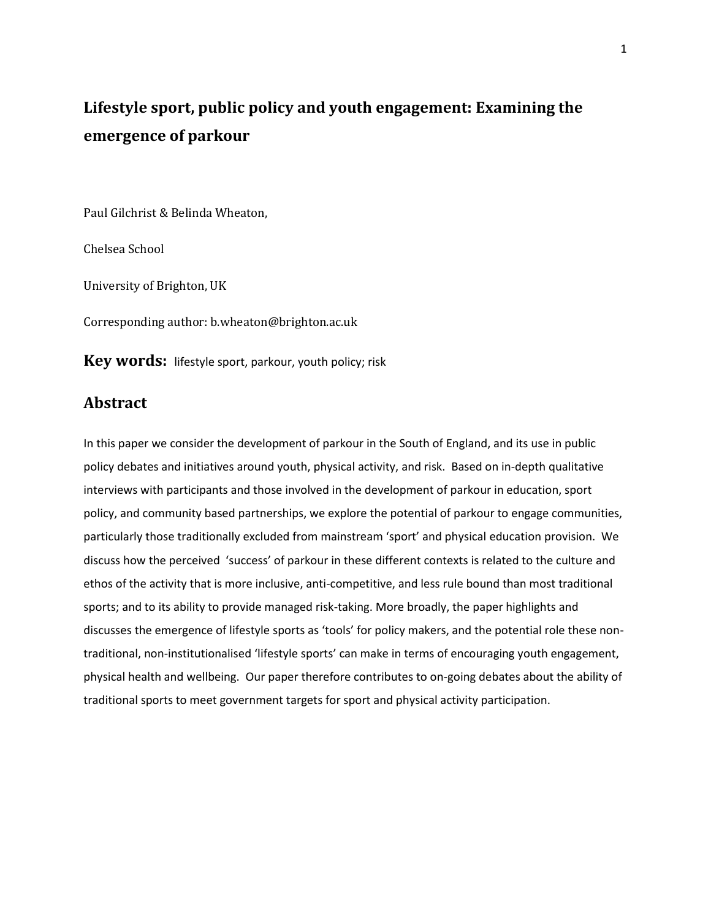# **Lifestyle sport, public policy and youth engagement: Examining the emergence of parkour**

Paul Gilchrist & Belinda Wheaton,

Chelsea School

University of Brighton, UK

Corresponding author: b.wheaton@brighton.ac.uk

**Key words:** lifestyle sport, parkour, youth policy; risk

# **Abstract**

In this paper we consider the development of parkour in the South of England, and its use in public policy debates and initiatives around youth, physical activity, and risk. Based on in-depth qualitative interviews with participants and those involved in the development of parkour in education, sport policy, and community based partnerships, we explore the potential of parkour to engage communities, particularly those traditionally excluded from mainstream 'sport' and physical education provision. We discuss how the perceived 'success' of parkour in these different contexts is related to the culture and ethos of the activity that is more inclusive, anti-competitive, and less rule bound than most traditional sports; and to its ability to provide managed risk-taking. More broadly, the paper highlights and discusses the emergence of lifestyle sports as 'tools' for policy makers, and the potential role these nontraditional, non-institutionalised 'lifestyle sports' can make in terms of encouraging youth engagement, physical health and wellbeing.Our paper therefore contributes to on-going debates about the ability of traditional sports to meet government targets for sport and physical activity participation.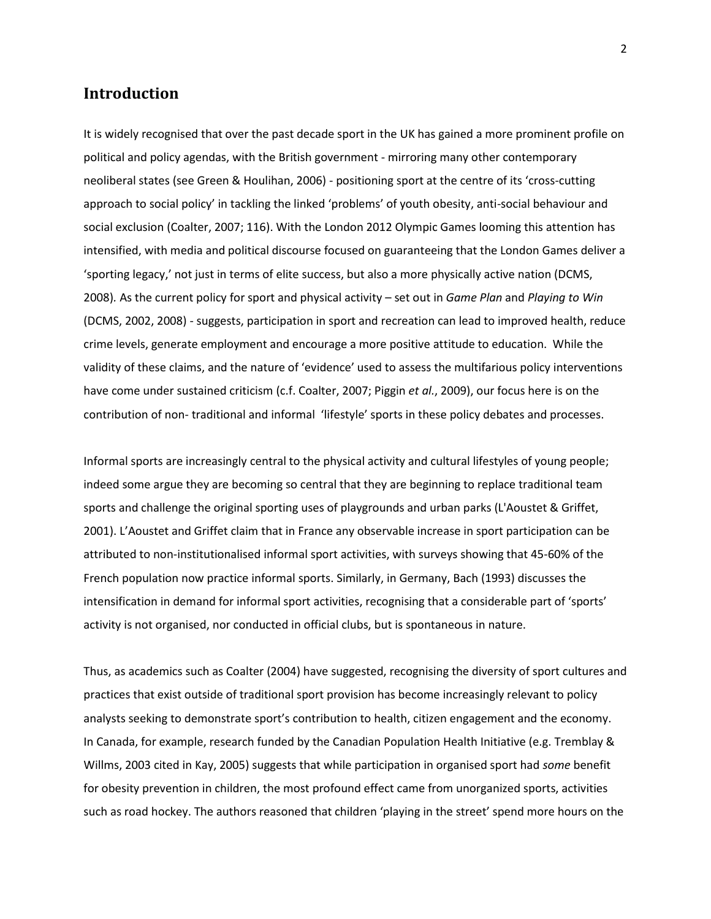# **Introduction**

It is widely recognised that over the past decade sport in the UK has gained a more prominent profile on political and policy agendas, with the British government - mirroring many other contemporary neoliberal states (see Green & Houlihan, 2006) - positioning sport at the centre of its 'cross-cutting approach to social policy' in tackling the linked 'problems' of youth obesity, anti-social behaviour and social exclusion (Coalter, 2007; 116). With the London 2012 Olympic Games looming this attention has intensified, with media and political discourse focused on guaranteeing that the London Games deliver a 'sporting legacy,' not just in terms of elite success, but also a more physically active nation (DCMS, 2008)*.* As the current policy for sport and physical activity – set out in *Game Plan* and *Playing to Win* (DCMS, 2002, 2008) - suggests, participation in sport and recreation can lead to improved health, reduce crime levels, generate employment and encourage a more positive attitude to education. While the validity of these claims, and the nature of 'evidence' used to assess the multifarious policy interventions have come under sustained criticism (c.f. Coalter, 2007; Piggin *et al.*, 2009), our focus here is on the contribution of non- traditional and informal 'lifestyle' sports in these policy debates and processes.

Informal sports are increasingly central to the physical activity and cultural lifestyles of young people; indeed some argue they are becoming so central that they are beginning to replace traditional team sports and challenge the original sporting uses of playgrounds and urban parks (L'Aoustet & Griffet, 2001). L'Aoustet and Griffet claim that in France any observable increase in sport participation can be attributed to non-institutionalised informal sport activities, with surveys showing that 45-60% of the French population now practice informal sports. Similarly, in Germany, Bach (1993) discusses the intensification in demand for informal sport activities, recognising that a considerable part of 'sports' activity is not organised, nor conducted in official clubs, but is spontaneous in nature.

Thus, as academics such as Coalter (2004) have suggested, recognising the diversity of sport cultures and practices that exist outside of traditional sport provision has become increasingly relevant to policy analysts seeking to demonstrate sport's contribution to health, citizen engagement and the economy. In Canada, for example, research funded by the Canadian Population Health Initiative (e.g. Tremblay & Willms, 2003 cited in Kay, 2005) suggests that while participation in organised sport had *some* benefit for obesity prevention in children, the most profound effect came from unorganized sports, activities such as road hockey. The authors reasoned that children 'playing in the street' spend more hours on the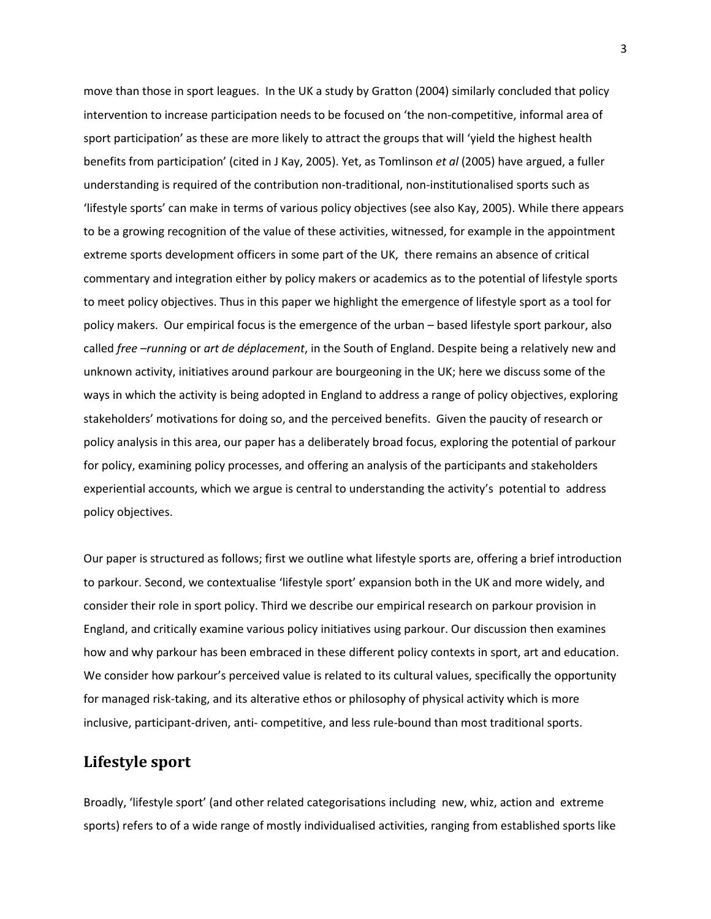move than those in sport leagues. In the UK a study by Gratton (2004) similarly concluded that policy intervention to increase participation needs to be focused on 'the non-competitive, informal area of sport participation' as these are more likely to attract the groups that will 'yield the highest health benefits from participation' (cited in J Kay, 2005). Yet, as Tomlinson *et al* (2005) have argued, a fuller understanding is required of the contribution non-traditional, non-institutionalised sports such as 'lifestyle sports' can make in terms of various policy objectives (see also Kay, 2005). While there appears to be a growing recognition of the value of these activities, witnessed, for example in the appointment extreme sports development officers in some part of the UK, there remains an absence of critical commentary and integration either by policy makers or academics as to the potential of lifestyle sports to meet policy objectives. Thus in this paper we highlight the emergence of lifestyle sport as a tool for policy makers. Our empirical focus is the emergence of the urban – based lifestyle sport parkour, also called *free –running* or *art de déplacement*, in the South of England. Despite being a relatively new and unknown activity, initiatives around parkour are bourgeoning in the UK; here we discuss some of the ways in which the activity is being adopted in England to address a range of policy objectives, exploring stakeholders' motivations for doing so, and the perceived benefits. Given the paucity of research or policy analysis in this area, our paper has a deliberately broad focus, exploring the potential of parkour for policy, examining policy processes, and offering an analysis of the participants and stakeholders experiential accounts, which we argue is central to understanding the activity's potential to address policy objectives.

Our paper is structured as follows; first we outline what lifestyle sports are, offering a brief introduction to parkour. Second, we contextualise 'lifestyle sport' expansion both in the UK and more widely, and consider their role in sport policy. Third we describe our empirical research on parkour provision in England, and critically examine various policy initiatives using parkour. Our discussion then examines how and why parkour has been embraced in these different policy contexts in sport, art and education. We consider how parkour's perceived value is related to its cultural values, specifically the opportunity for managed risk-taking, and its alterative ethos or philosophy of physical activity which is more inclusive, participant-driven, anti- competitive, and less rule-bound than most traditional sports.

## **Lifestyle sport**

Broadly, 'lifestyle sport' (and other related categorisations including new, whiz, action and extreme sports) refers to of a wide range of mostly individualised activities, ranging from established sports like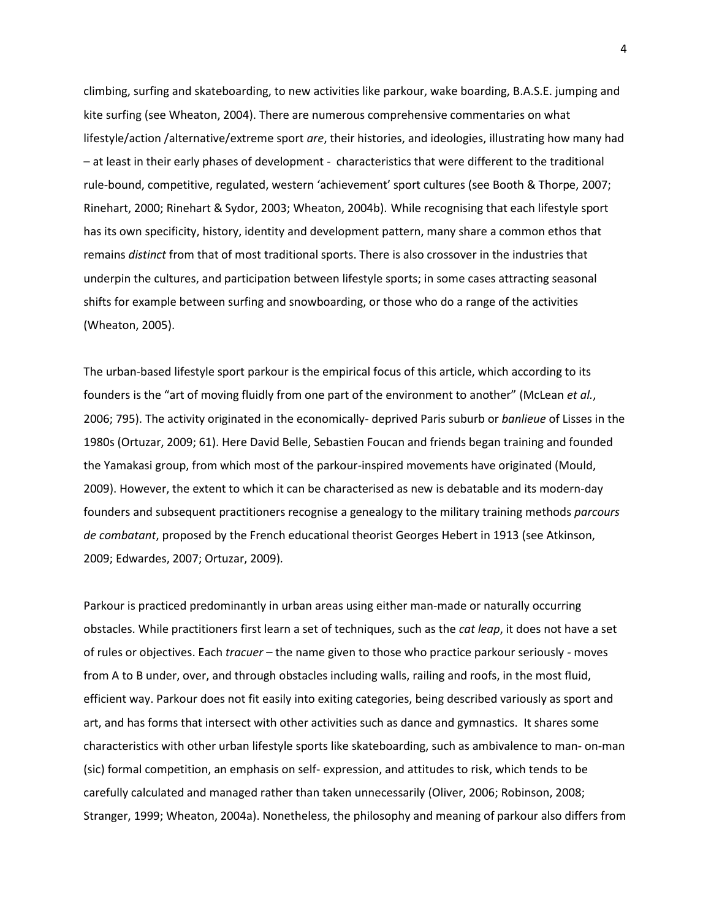climbing, surfing and skateboarding, to new activities like parkour, wake boarding, B.A.S.E. jumping and kite surfing (see Wheaton, 2004). There are numerous comprehensive commentaries on what lifestyle/action /alternative/extreme sport *are*, their histories, and ideologies, illustrating how many had – at least in their early phases of development - characteristics that were different to the traditional rule-bound, competitive, regulated, western 'achievement' sport cultures (see Booth & Thorpe, 2007; Rinehart, 2000; Rinehart & Sydor, 2003; Wheaton, 2004b). While recognising that each lifestyle sport has its own specificity, history, identity and development pattern, many share a common ethos that remains *distinct* from that of most traditional sports. There is also crossover in the industries that underpin the cultures, and participation between lifestyle sports; in some cases attracting seasonal shifts for example between surfing and snowboarding, or those who do a range of the activities (Wheaton, 2005).

The urban-based lifestyle sport parkour is the empirical focus of this article, which according to its founders is the "art of moving fluidly from one part of the environment to another" (McLean *et al.*, 2006; 795). The activity originated in the economically- deprived Paris suburb or *banlieue* of Lisses in the 1980s (Ortuzar, 2009; 61). Here David Belle, Sebastien Foucan and friends began training and founded the Yamakasi group, from which most of the parkour-inspired movements have originated (Mould, 2009). However, the extent to which it can be characterised as new is debatable and its modern-day founders and subsequent practitioners recognise a genealogy to the military training methods *parcours de combatant*, proposed by the French educational theorist Georges Hebert in 1913 (see Atkinson, 2009; Edwardes, 2007; Ortuzar, 2009)*.*

Parkour is practiced predominantly in urban areas using either man-made or naturally occurring obstacles. While practitioners first learn a set of techniques, such as the *cat leap*, it does not have a set of rules or objectives. Each *tracuer –* the name given to those who practice parkour seriously *-* moves from A to B under, over, and through obstacles including walls, railing and roofs, in the most fluid, efficient way. Parkour does not fit easily into exiting categories, being described variously as sport and art, and has forms that intersect with other activities such as dance and gymnastics. It shares some characteristics with other urban lifestyle sports like skateboarding, such as ambivalence to man- on-man (sic) formal competition, an emphasis on self- expression, and attitudes to risk, which tends to be carefully calculated and managed rather than taken unnecessarily (Oliver, 2006; Robinson, 2008; Stranger, 1999; Wheaton, 2004a). Nonetheless, the philosophy and meaning of parkour also differs from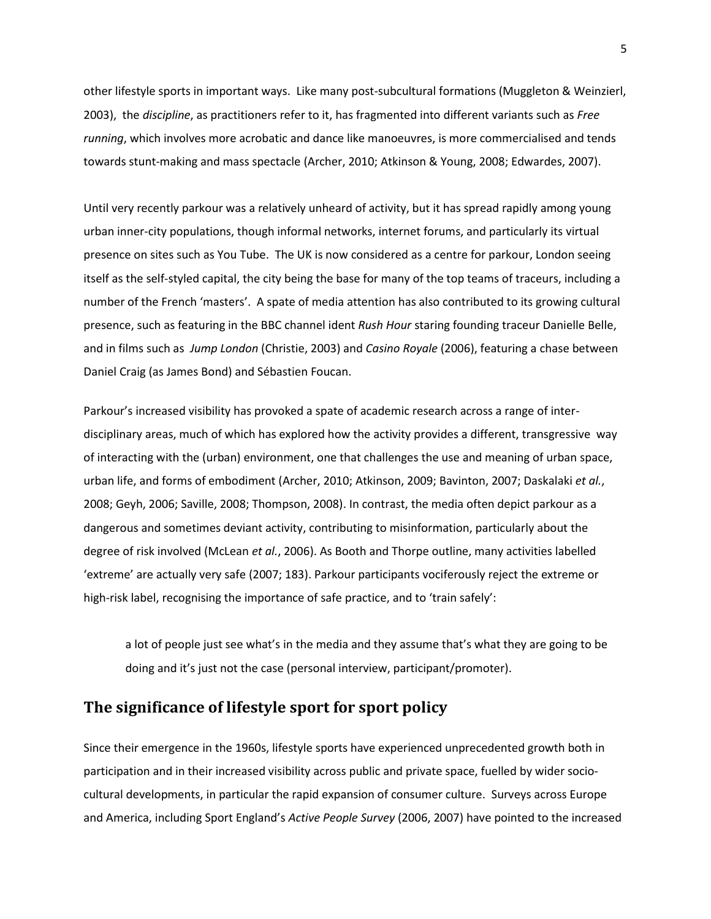other lifestyle sports in important ways. Like many post-subcultural formations (Muggleton & Weinzierl, 2003), the *discipline*, as practitioners refer to it, has fragmented into different variants such as *Free running*, which involves more acrobatic and dance like manoeuvres, is more commercialised and tends towards stunt-making and mass spectacle (Archer, 2010; Atkinson & Young, 2008; Edwardes, 2007).

Until very recently parkour was a relatively unheard of activity, but it has spread rapidly among young urban inner-city populations, though informal networks, internet forums, and particularly its virtual presence on sites such as You Tube. The UK is now considered as a centre for parkour, London seeing itself as the self-styled capital, the city being the base for many of the top teams of traceurs, including a number of the French 'masters'. A spate of media attention has also contributed to its growing cultural presence, such as featuring in the BBC channel ident *Rush Hour* staring founding traceur Danielle Belle, and in films such as *Jump London* (Christie, 2003) and *Casino Royale* (2006), featuring a chase between Daniel Craig (as James Bond) and Sébastien Foucan.

Parkour's increased visibility has provoked a spate of academic research across a range of interdisciplinary areas, much of which has explored how the activity provides a different, transgressive way of interacting with the (urban) environment, one that challenges the use and meaning of urban space, urban life, and forms of embodiment (Archer, 2010; Atkinson, 2009; Bavinton, 2007; Daskalaki *et al.*, 2008; Geyh, 2006; Saville, 2008; Thompson, 2008). In contrast, the media often depict parkour as a dangerous and sometimes deviant activity, contributing to misinformation, particularly about the degree of risk involved (McLean *et al.*, 2006). As Booth and Thorpe outline, many activities labelled 'extreme' are actually very safe (2007; 183). Parkour participants vociferously reject the extreme or high-risk label, recognising the importance of safe practice, and to 'train safely':

a lot of people just see what's in the media and they assume that's what they are going to be doing and it's just not the case (personal interview, participant/promoter).

# **The significance of lifestyle sport for sport policy**

Since their emergence in the 1960s, lifestyle sports have experienced unprecedented growth both in participation and in their increased visibility across public and private space, fuelled by wider sociocultural developments, in particular the rapid expansion of consumer culture. Surveys across Europe and America, including Sport England's *Active People Survey* (2006, 2007) have pointed to the increased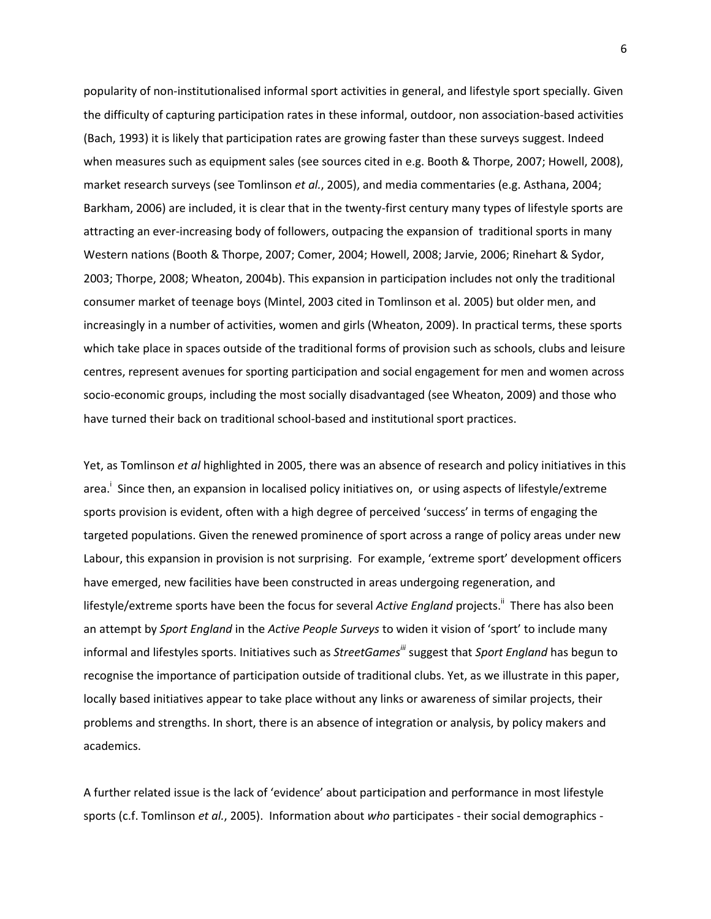popularity of non-institutionalised informal sport activities in general, and lifestyle sport specially. Given the difficulty of capturing participation rates in these informal, outdoor, non association-based activities (Bach, 1993) it is likely that participation rates are growing faster than these surveys suggest. Indeed when measures such as equipment sales (see sources cited in e.g. Booth & Thorpe, 2007; Howell, 2008), market research surveys (see Tomlinson *et al.*, 2005), and media commentaries (e.g. Asthana, 2004; Barkham, 2006) are included, it is clear that in the twenty-first century many types of lifestyle sports are attracting an ever-increasing body of followers, outpacing the expansion of traditional sports in many Western nations (Booth & Thorpe, 2007; Comer, 2004; Howell, 2008; Jarvie, 2006; Rinehart & Sydor, 2003; Thorpe, 2008; Wheaton, 2004b). This expansion in participation includes not only the traditional consumer market of teenage boys (Mintel, 2003 cited in Tomlinson et al. 2005) but older men, and increasingly in a number of activities, women and girls (Wheaton, 2009). In practical terms, these sports which take place in spaces outside of the traditional forms of provision such as schools, clubs and leisure centres, represent avenues for sporting participation and social engagement for men and women across socio-economic groups, including the most socially disadvantaged (see Wheaton, 2009) and those who have turned their back on traditional school-based and institutional sport practices.

Yet, as Tomlinson *et al* highlighted in 2005, there was an absence of research and policy initiatives in this area.<sup>i</sup> Since then, an expansion in localised policy initiatives on, or using aspects of lifestyle/extreme sports provision is evident, often with a high degree of perceived 'success' in terms of engaging the targeted populations. Given the renewed prominence of sport across a range of policy areas under new Labour, this expansion in provision is not surprising. For example, 'extreme sport' development officers have emerged, new facilities have been constructed in areas undergoing regeneration, and lifestyle/extreme sports have been the focus for several Active England projects.<sup>"</sup> There has also been an attempt by *Sport England* in the *Active People Surveys* to widen it vision of 'sport' to include many informal and lifestyles sports. Initiatives such as *StreetGamesiii* suggest that *Sport England* has begun to recognise the importance of participation outside of traditional clubs. Yet, as we illustrate in this paper, locally based initiatives appear to take place without any links or awareness of similar projects, their problems and strengths. In short, there is an absence of integration or analysis, by policy makers and academics.

A further related issue is the lack of 'evidence' about participation and performance in most lifestyle sports (c.f. Tomlinson *et al.*, 2005). Information about *who* participates - their social demographics -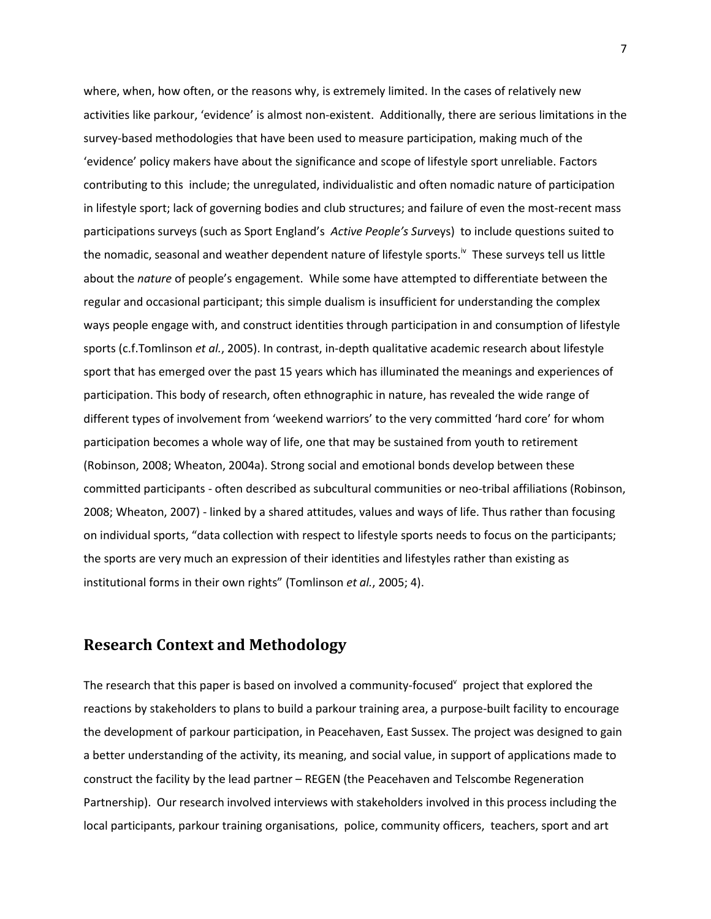where, when, how often, or the reasons why, is extremely limited. In the cases of relatively new activities like parkour, 'evidence' is almost non-existent. Additionally, there are serious limitations in the survey-based methodologies that have been used to measure participation, making much of the 'evidence' policy makers have about the significance and scope of lifestyle sport unreliable. Factors contributing to this include; the unregulated, individualistic and often nomadic nature of participation in lifestyle sport; lack of governing bodies and club structures; and failure of even the most-recent mass participations surveys (such as Sport England's *Active People's Surv*eys) to include questions suited to the nomadic, seasonal and weather dependent nature of lifestyle sports.<sup>iv</sup> These surveys tell us little about the *nature* of people's engagement. While some have attempted to differentiate between the regular and occasional participant; this simple dualism is insufficient for understanding the complex ways people engage with, and construct identities through participation in and consumption of lifestyle sports (c.f.Tomlinson *et al.*, 2005). In contrast, in-depth qualitative academic research about lifestyle sport that has emerged over the past 15 years which has illuminated the meanings and experiences of participation. This body of research, often ethnographic in nature, has revealed the wide range of different types of involvement from 'weekend warriors' to the very committed 'hard core' for whom participation becomes a whole way of life, one that may be sustained from youth to retirement (Robinson, 2008; Wheaton, 2004a). Strong social and emotional bonds develop between these committed participants - often described as subcultural communities or neo-tribal affiliations (Robinson, 2008; Wheaton, 2007) - linked by a shared attitudes, values and ways of life. Thus rather than focusing on individual sports, "data collection with respect to lifestyle sports needs to focus on the participants; the sports are very much an expression of their identities and lifestyles rather than existing as institutional forms in their own rights" (Tomlinson *et al.*, 2005; 4).

# **Research Context and Methodology**

The research that this paper is based on involved a community-focused<sup>v</sup> project that explored the reactions by stakeholders to plans to build a parkour training area, a purpose-built facility to encourage the development of parkour participation, in Peacehaven, East Sussex. The project was designed to gain a better understanding of the activity, its meaning, and social value, in support of applications made to construct the facility by the lead partner – REGEN (the Peacehaven and Telscombe Regeneration Partnership). Our research involved interviews with stakeholders involved in this process including the local participants, parkour training organisations, police, community officers, teachers, sport and art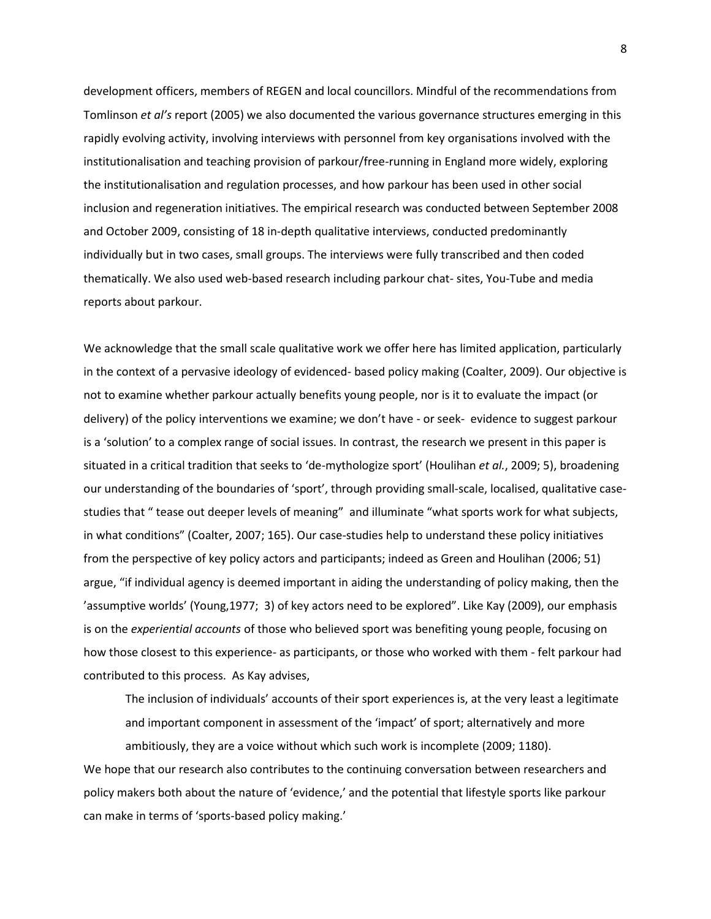development officers, members of REGEN and local councillors. Mindful of the recommendations from Tomlinson *et al's* report (2005) we also documented the various governance structures emerging in this rapidly evolving activity, involving interviews with personnel from key organisations involved with the institutionalisation and teaching provision of parkour/free-running in England more widely, exploring the institutionalisation and regulation processes, and how parkour has been used in other social inclusion and regeneration initiatives. The empirical research was conducted between September 2008 and October 2009, consisting of 18 in-depth qualitative interviews, conducted predominantly individually but in two cases, small groups. The interviews were fully transcribed and then coded thematically. We also used web-based research including parkour chat- sites, You-Tube and media reports about parkour.

We acknowledge that the small scale qualitative work we offer here has limited application, particularly in the context of a pervasive ideology of evidenced- based policy making (Coalter, 2009). Our objective is not to examine whether parkour actually benefits young people, nor is it to evaluate the impact (or delivery) of the policy interventions we examine; we don't have - or seek- evidence to suggest parkour is a 'solution' to a complex range of social issues. In contrast, the research we present in this paper is situated in a critical tradition that seeks to 'de-mythologize sport' (Houlihan *et al.*, 2009; 5), broadening our understanding of the boundaries of 'sport', through providing small-scale, localised, qualitative casestudies that " tease out deeper levels of meaning" and illuminate "what sports work for what subjects, in what conditions" (Coalter, 2007; 165). Our case-studies help to understand these policy initiatives from the perspective of key policy actors and participants; indeed as Green and Houlihan (2006; 51) argue, "if individual agency is deemed important in aiding the understanding of policy making, then the 'assumptive worlds' (Young,1977; 3) of key actors need to be explored". Like Kay (2009), our emphasis is on the *experiential accounts* of those who believed sport was benefiting young people, focusing on how those closest to this experience- as participants, or those who worked with them - felt parkour had contributed to this process. As Kay advises,

The inclusion of individuals' accounts of their sport experiences is, at the very least a legitimate and important component in assessment of the 'impact' of sport; alternatively and more ambitiously, they are a voice without which such work is incomplete (2009; 1180).

We hope that our research also contributes to the continuing conversation between researchers and policy makers both about the nature of 'evidence,' and the potential that lifestyle sports like parkour can make in terms of 'sports-based policy making.'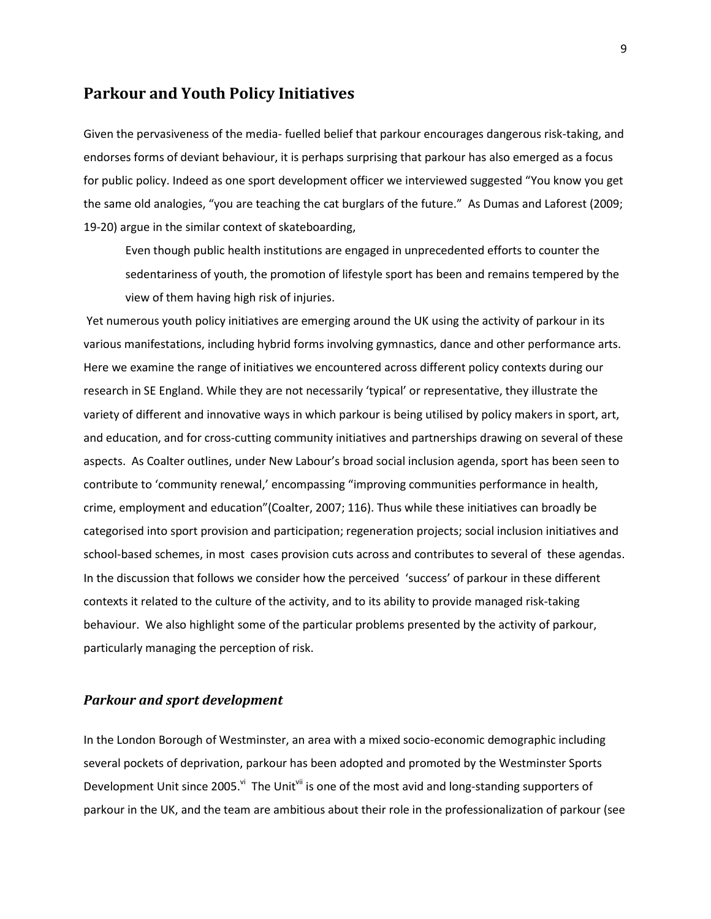# **Parkour and Youth Policy Initiatives**

Given the pervasiveness of the media- fuelled belief that parkour encourages dangerous risk-taking, and endorses forms of deviant behaviour, it is perhaps surprising that parkour has also emerged as a focus for public policy. Indeed as one sport development officer we interviewed suggested "You know you get the same old analogies, "you are teaching the cat burglars of the future." As Dumas and Laforest (2009; 19-20) argue in the similar context of skateboarding,

Even though public health institutions are engaged in unprecedented efforts to counter the sedentariness of youth, the promotion of lifestyle sport has been and remains tempered by the view of them having high risk of injuries.

Yet numerous youth policy initiatives are emerging around the UK using the activity of parkour in its various manifestations, including hybrid forms involving gymnastics, dance and other performance arts. Here we examine the range of initiatives we encountered across different policy contexts during our research in SE England. While they are not necessarily 'typical' or representative, they illustrate the variety of different and innovative ways in which parkour is being utilised by policy makers in sport, art, and education, and for cross-cutting community initiatives and partnerships drawing on several of these aspects. As Coalter outlines, under New Labour's broad social inclusion agenda, sport has been seen to contribute to 'community renewal,' encompassing "improving communities performance in health, crime, employment and education"(Coalter, 2007; 116). Thus while these initiatives can broadly be categorised into sport provision and participation; regeneration projects; social inclusion initiatives and school-based schemes, in most cases provision cuts across and contributes to several of these agendas. In the discussion that follows we consider how the perceived 'success' of parkour in these different contexts it related to the culture of the activity, and to its ability to provide managed risk-taking behaviour. We also highlight some of the particular problems presented by the activity of parkour, particularly managing the perception of risk.

### *Parkour and sport development*

In the London Borough of Westminster, an area with a mixed socio-economic demographic including several pockets of deprivation, parkour has been adopted and promoted by the Westminster Sports Development Unit since 2005. Vi The Unit Vil is one of the most avid and long-standing supporters of parkour in the UK, and the team are ambitious about their role in the professionalization of parkour (see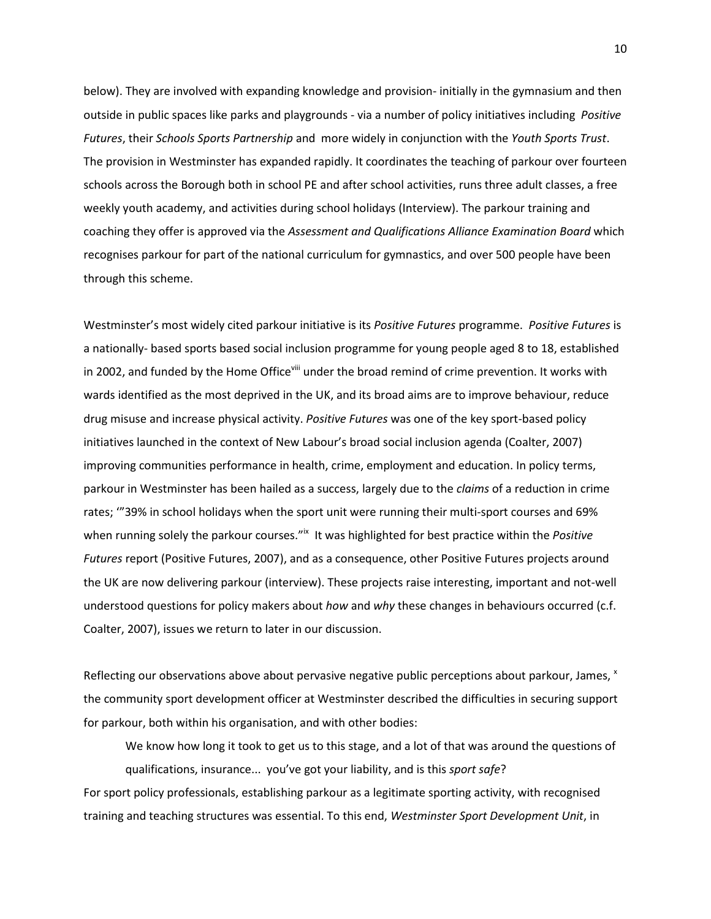below). They are involved with expanding knowledge and provision- initially in the gymnasium and then outside in public spaces like parks and playgrounds - via a number of policy initiatives including *Positive Futures*, their *Schools Sports Partnership* and more widely in conjunction with the *Youth Sports Trust*. The provision in Westminster has expanded rapidly. It coordinates the teaching of parkour over fourteen schools across the Borough both in school PE and after school activities, runs three adult classes, a free weekly youth academy, and activities during school holidays (Interview). The parkour training and coaching they offer is approved via the *Assessment and Qualifications Alliance Examination Board* which recognises parkour for part of the national curriculum for gymnastics, and over 500 people have been through this scheme.

Westminster's most widely cited parkour initiative is its *Positive Futures* programme. *Positive Futures* is a nationally- based sports based social inclusion programme for young people aged 8 to 18, established in 2002, and funded by the Home Office<sup>viii</sup> under the broad remind of crime prevention. It works with wards identified as the most deprived in the UK, and its broad aims are to improve behaviour, reduce drug misuse and increase physical activity. *Positive Futures* was one of the key sport-based policy initiatives launched in the context of New Labour's broad social inclusion agenda (Coalter, 2007) improving communities performance in health, crime, employment and education. In policy terms, parkour in Westminster has been hailed as a success, largely due to the *claims* of a reduction in crime rates; '"39% in school holidays when the sport unit were running their multi-sport courses and 69% when running solely the parkour courses."<sup>ix</sup> It was highlighted for best practice within the *Positive Futures* report (Positive Futures, 2007), and as a consequence, other Positive Futures projects around the UK are now delivering parkour (interview). These projects raise interesting, important and not-well understood questions for policy makers about *how* and *why* these changes in behaviours occurred (c.f. Coalter, 2007), issues we return to later in our discussion.

Reflecting our observations above about pervasive negative public perceptions about parkour, James,  $x$ the community sport development officer at Westminster described the difficulties in securing support for parkour, both within his organisation, and with other bodies:

We know how long it took to get us to this stage, and a lot of that was around the questions of qualifications, insurance... you've got your liability, and is this *sport safe*? For sport policy professionals, establishing parkour as a legitimate sporting activity, with recognised training and teaching structures was essential. To this end, *Westminster Sport Development Unit*, in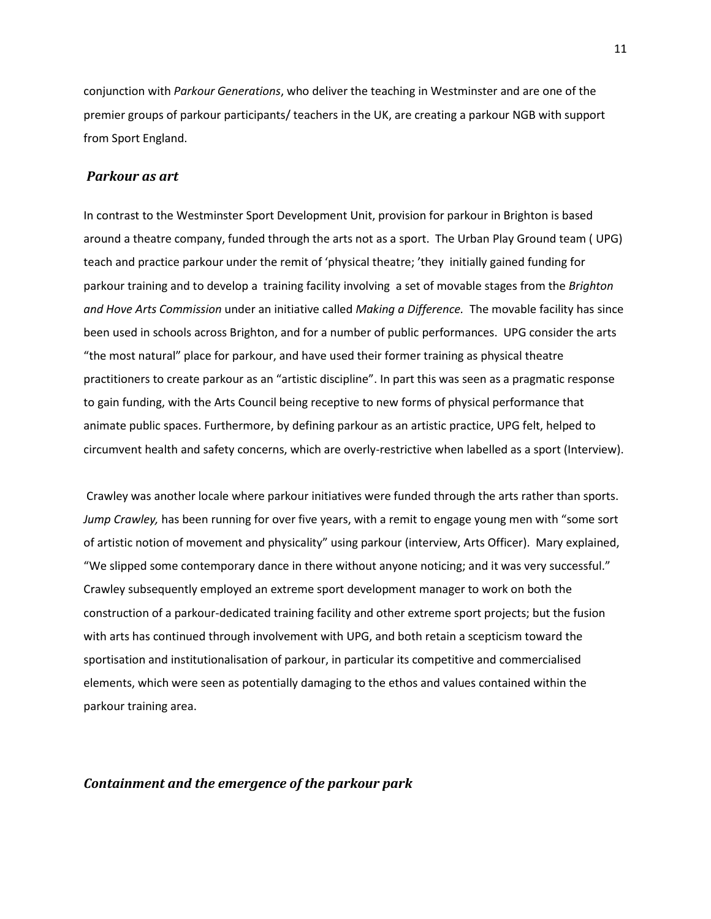conjunction with *Parkour Generations*, who deliver the teaching in Westminster and are one of the premier groups of parkour participants/ teachers in the UK, are creating a parkour NGB with support from Sport England.

### *Parkour as art*

In contrast to the Westminster Sport Development Unit, provision for parkour in Brighton is based around a theatre company, funded through the arts not as a sport. The Urban Play Ground team ( UPG) teach and practice parkour under the remit of 'physical theatre; 'they initially gained funding for parkour training and to develop a training facility involving a set of movable stages from the *Brighton and Hove Arts Commission* under an initiative called *Making a Difference.* The movable facility has since been used in schools across Brighton, and for a number of public performances. UPG consider the arts "the most natural" place for parkour, and have used their former training as physical theatre practitioners to create parkour as an "artistic discipline". In part this was seen as a pragmatic response to gain funding, with the Arts Council being receptive to new forms of physical performance that animate public spaces. Furthermore, by defining parkour as an artistic practice, UPG felt, helped to circumvent health and safety concerns, which are overly-restrictive when labelled as a sport (Interview).

Crawley was another locale where parkour initiatives were funded through the arts rather than sports. *Jump Crawley,* has been running for over five years, with a remit to engage young men with "some sort of artistic notion of movement and physicality" using parkour (interview, Arts Officer). Mary explained, "We slipped some contemporary dance in there without anyone noticing; and it was very successful." Crawley subsequently employed an extreme sport development manager to work on both the construction of a parkour-dedicated training facility and other extreme sport projects; but the fusion with arts has continued through involvement with UPG, and both retain a scepticism toward the sportisation and institutionalisation of parkour, in particular its competitive and commercialised elements, which were seen as potentially damaging to the ethos and values contained within the parkour training area.

#### *Containment and the emergence of the parkour park*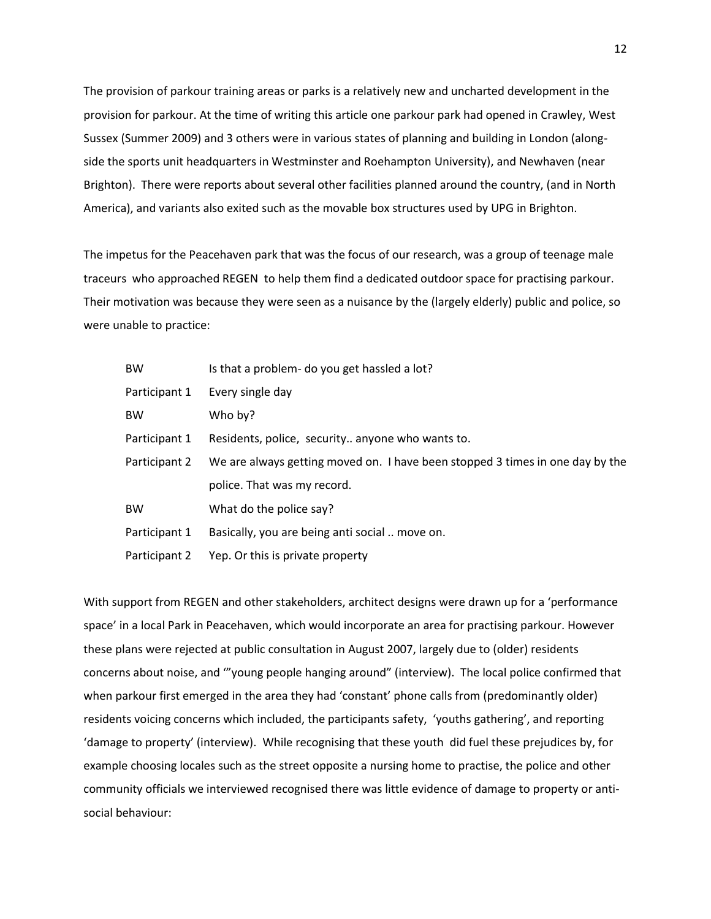The provision of parkour training areas or parks is a relatively new and uncharted development in the provision for parkour. At the time of writing this article one parkour park had opened in Crawley, West Sussex (Summer 2009) and 3 others were in various states of planning and building in London (alongside the sports unit headquarters in Westminster and Roehampton University), and Newhaven (near Brighton). There were reports about several other facilities planned around the country, (and in North America), and variants also exited such as the movable box structures used by UPG in Brighton.

The impetus for the Peacehaven park that was the focus of our research, was a group of teenage male traceurs who approached REGEN to help them find a dedicated outdoor space for practising parkour. Their motivation was because they were seen as a nuisance by the (largely elderly) public and police, so were unable to practice:

| <b>BW</b>     | Is that a problem- do you get hassled a lot?                                  |
|---------------|-------------------------------------------------------------------------------|
| Participant 1 | Every single day                                                              |
| BW            | Who by?                                                                       |
| Participant 1 | Residents, police, security anyone who wants to.                              |
| Participant 2 | We are always getting moved on. I have been stopped 3 times in one day by the |
|               | police. That was my record.                                                   |
| <b>BW</b>     | What do the police say?                                                       |
| Participant 1 | Basically, you are being anti social  move on.                                |
| Participant 2 | Yep. Or this is private property                                              |

With support from REGEN and other stakeholders, architect designs were drawn up for a 'performance space' in a local Park in Peacehaven, which would incorporate an area for practising parkour. However these plans were rejected at public consultation in August 2007, largely due to (older) residents concerns about noise, and '"young people hanging around" (interview). The local police confirmed that when parkour first emerged in the area they had 'constant' phone calls from (predominantly older) residents voicing concerns which included, the participants safety, 'youths gathering', and reporting 'damage to property' (interview). While recognising that these youth did fuel these prejudices by, for example choosing locales such as the street opposite a nursing home to practise, the police and other community officials we interviewed recognised there was little evidence of damage to property or antisocial behaviour: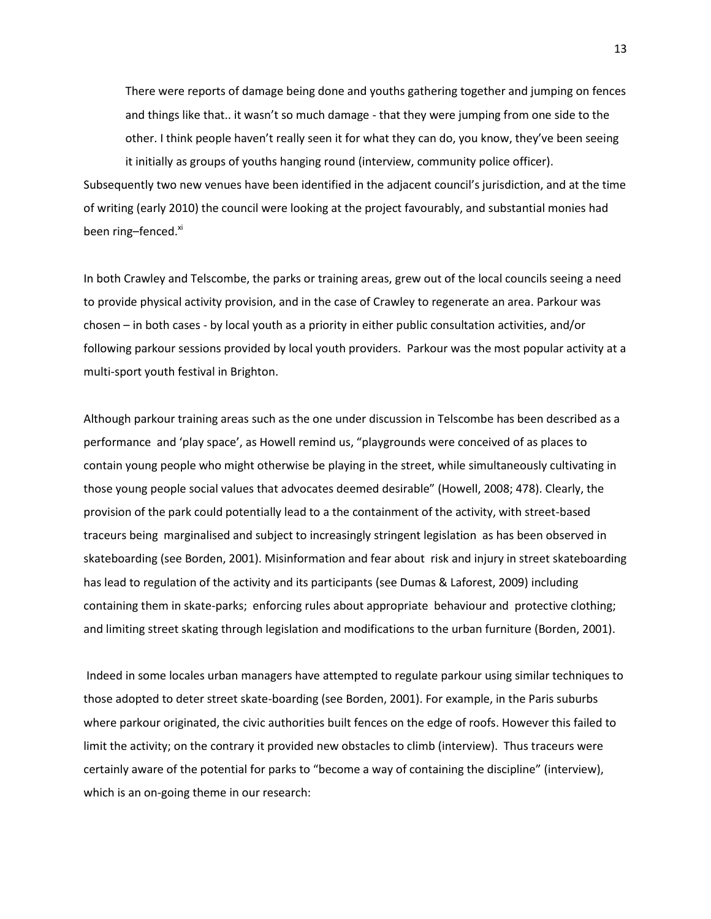There were reports of damage being done and youths gathering together and jumping on fences and things like that.. it wasn't so much damage - that they were jumping from one side to the other. I think people haven't really seen it for what they can do, you know, they've been seeing it initially as groups of youths hanging round (interview, community police officer). Subsequently two new venues have been identified in the adjacent council's jurisdiction, and at the time of writing (early 2010) the council were looking at the project favourably, and substantial monies had been ring–fenced.<sup>xi</sup>

In both Crawley and Telscombe, the parks or training areas, grew out of the local councils seeing a need to provide physical activity provision, and in the case of Crawley to regenerate an area. Parkour was chosen – in both cases - by local youth as a priority in either public consultation activities, and/or following parkour sessions provided by local youth providers. Parkour was the most popular activity at a multi-sport youth festival in Brighton.

Although parkour training areas such as the one under discussion in Telscombe has been described as a performance and 'play space', as Howell remind us, "playgrounds were conceived of as places to contain young people who might otherwise be playing in the street, while simultaneously cultivating in those young people social values that advocates deemed desirable" (Howell, 2008; 478). Clearly, the provision of the park could potentially lead to a the containment of the activity, with street-based traceurs being marginalised and subject to increasingly stringent legislation as has been observed in skateboarding (see Borden, 2001). Misinformation and fear about risk and injury in street skateboarding has lead to regulation of the activity and its participants (see Dumas & Laforest, 2009) including containing them in skate-parks; enforcing rules about appropriate behaviour and protective clothing; and limiting street skating through legislation and modifications to the urban furniture (Borden, 2001).

Indeed in some locales urban managers have attempted to regulate parkour using similar techniques to those adopted to deter street skate-boarding (see Borden, 2001). For example, in the Paris suburbs where parkour originated, the civic authorities built fences on the edge of roofs. However this failed to limit the activity; on the contrary it provided new obstacles to climb (interview). Thus traceurs were certainly aware of the potential for parks to "become a way of containing the discipline" (interview), which is an on-going theme in our research: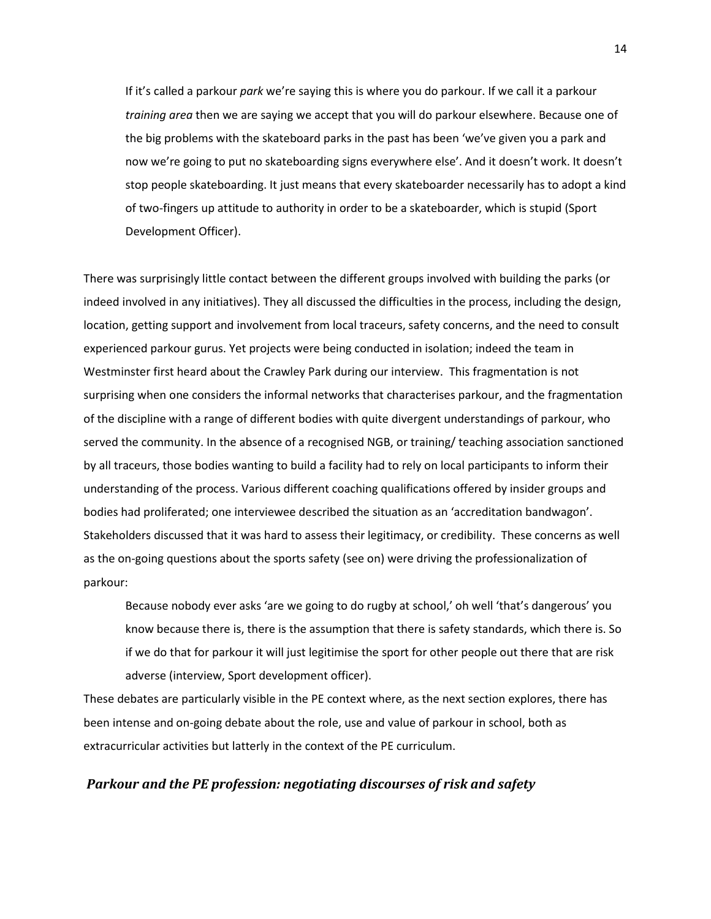If it's called a parkour *park* we're saying this is where you do parkour. If we call it a parkour *training area* then we are saying we accept that you will do parkour elsewhere. Because one of the big problems with the skateboard parks in the past has been 'we've given you a park and now we're going to put no skateboarding signs everywhere else'. And it doesn't work. It doesn't stop people skateboarding. It just means that every skateboarder necessarily has to adopt a kind of two-fingers up attitude to authority in order to be a skateboarder, which is stupid (Sport Development Officer).

There was surprisingly little contact between the different groups involved with building the parks (or indeed involved in any initiatives). They all discussed the difficulties in the process, including the design, location, getting support and involvement from local traceurs, safety concerns, and the need to consult experienced parkour gurus. Yet projects were being conducted in isolation; indeed the team in Westminster first heard about the Crawley Park during our interview. This fragmentation is not surprising when one considers the informal networks that characterises parkour, and the fragmentation of the discipline with a range of different bodies with quite divergent understandings of parkour, who served the community. In the absence of a recognised NGB, or training/ teaching association sanctioned by all traceurs, those bodies wanting to build a facility had to rely on local participants to inform their understanding of the process. Various different coaching qualifications offered by insider groups and bodies had proliferated; one interviewee described the situation as an 'accreditation bandwagon'. Stakeholders discussed that it was hard to assess their legitimacy, or credibility. These concerns as well as the on-going questions about the sports safety (see on) were driving the professionalization of parkour:

Because nobody ever asks 'are we going to do rugby at school,' oh well 'that's dangerous' you know because there is, there is the assumption that there is safety standards, which there is. So if we do that for parkour it will just legitimise the sport for other people out there that are risk adverse (interview, Sport development officer).

These debates are particularly visible in the PE context where, as the next section explores, there has been intense and on-going debate about the role, use and value of parkour in school, both as extracurricular activities but latterly in the context of the PE curriculum.

### *Parkour and the PE profession: negotiating discourses of risk and safety*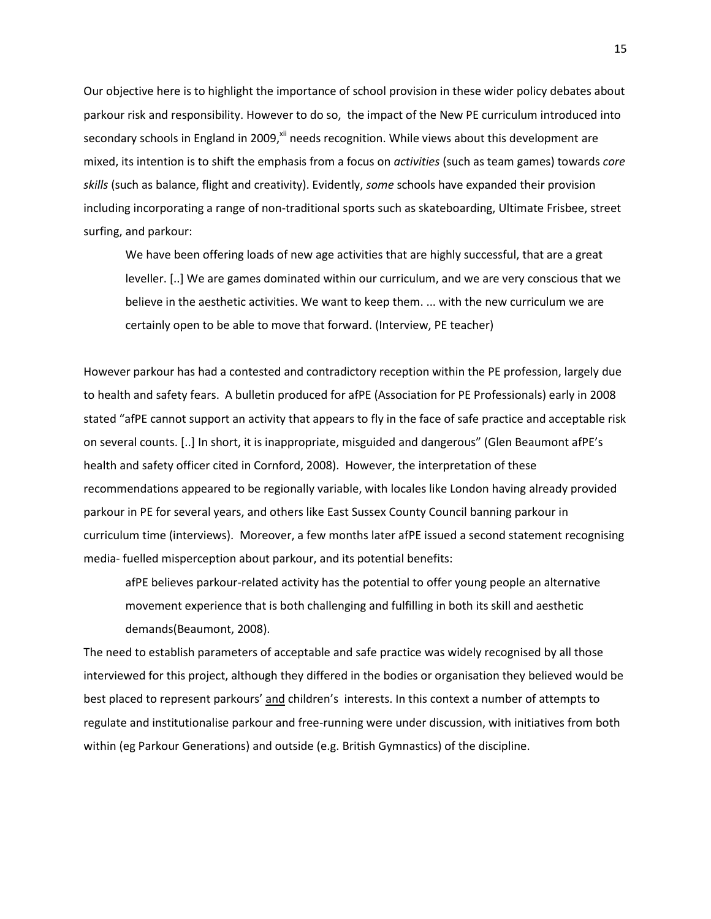Our objective here is to highlight the importance of school provision in these wider policy debates about parkour risk and responsibility. However to do so, the impact of the New PE curriculum introduced into secondary schools in England in 2009, xii needs recognition. While views about this development are mixed, its intention is to shift the emphasis from a focus on *activities* (such as team games) towards *core skills* (such as balance, flight and creativity). Evidently, *some* schools have expanded their provision including incorporating a range of non-traditional sports such as skateboarding, Ultimate Frisbee, street surfing, and parkour:

We have been offering loads of new age activities that are highly successful, that are a great leveller. [..] We are games dominated within our curriculum, and we are very conscious that we believe in the aesthetic activities. We want to keep them. ... with the new curriculum we are certainly open to be able to move that forward. (Interview, PE teacher)

However parkour has had a contested and contradictory reception within the PE profession, largely due to health and safety fears.A bulletin produced for afPE (Association for PE Professionals) early in 2008 stated "afPE cannot support an activity that appears to fly in the face of safe practice and acceptable risk on several counts. [..] In short, it is inappropriate, misguided and dangerous" (Glen Beaumont afPE's health and safety officer cited in Cornford, 2008). However, the interpretation of these recommendations appeared to be regionally variable, with locales like London having already provided parkour in PE for several years, and others like East Sussex County Council banning parkour in curriculum time (interviews). Moreover, a few months later afPE issued a second statement recognising media- fuelled misperception about parkour, and its potential benefits:

afPE believes parkour-related activity has the potential to offer young people an alternative movement experience that is both challenging and fulfilling in both its skill and aesthetic demands(Beaumont, 2008).

The need to establish parameters of acceptable and safe practice was widely recognised by all those interviewed for this project, although they differed in the bodies or organisation they believed would be best placed to represent parkours' and children's interests. In this context a number of attempts to regulate and institutionalise parkour and free-running were under discussion, with initiatives from both within (eg Parkour Generations) and outside (e.g. British Gymnastics) of the discipline.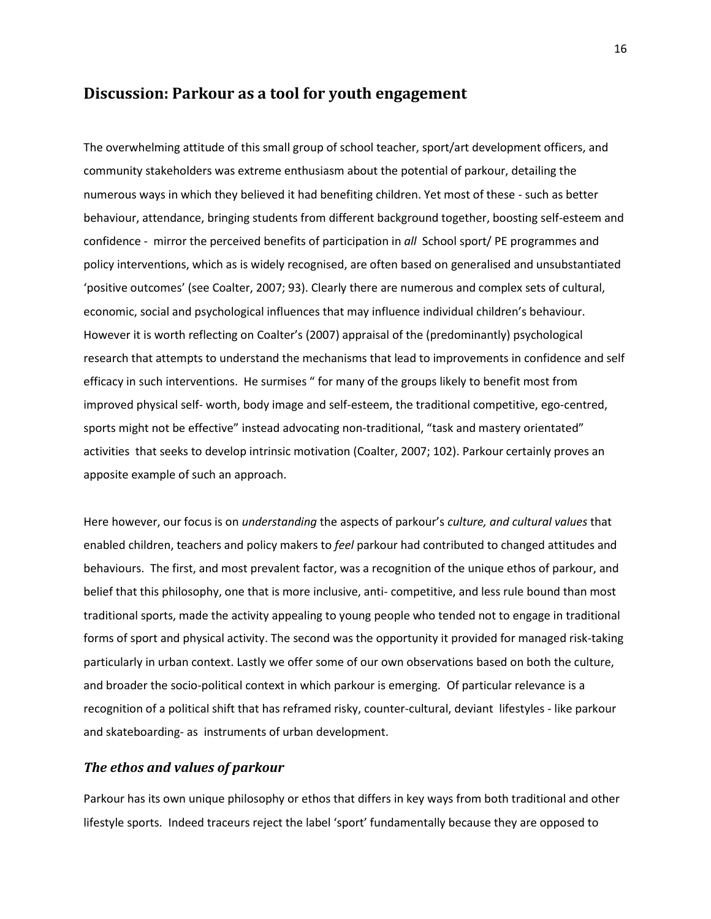### **Discussion: Parkour as a tool for youth engagement**

The overwhelming attitude of this small group of school teacher, sport/art development officers, and community stakeholders was extreme enthusiasm about the potential of parkour, detailing the numerous ways in which they believed it had benefiting children. Yet most of these - such as better behaviour, attendance, bringing students from different background together, boosting self-esteem and confidence - mirror the perceived benefits of participation in *all* School sport/ PE programmes and policy interventions, which as is widely recognised, are often based on generalised and unsubstantiated 'positive outcomes' (see Coalter, 2007; 93). Clearly there are numerous and complex sets of cultural, economic, social and psychological influences that may influence individual children's behaviour. However it is worth reflecting on Coalter's (2007) appraisal of the (predominantly) psychological research that attempts to understand the mechanisms that lead to improvements in confidence and self efficacy in such interventions. He surmises " for many of the groups likely to benefit most from improved physical self- worth, body image and self-esteem, the traditional competitive, ego-centred, sports might not be effective" instead advocating non-traditional, "task and mastery orientated" activities that seeks to develop intrinsic motivation (Coalter, 2007; 102). Parkour certainly proves an apposite example of such an approach.

Here however, our focus is on *understanding* the aspects of parkour's *culture, and cultural values* that enabled children, teachers and policy makers to *feel* parkour had contributed to changed attitudes and behaviours. The first, and most prevalent factor, was a recognition of the unique ethos of parkour, and belief that this philosophy, one that is more inclusive, anti- competitive, and less rule bound than most traditional sports, made the activity appealing to young people who tended not to engage in traditional forms of sport and physical activity. The second was the opportunity it provided for managed risk-taking particularly in urban context. Lastly we offer some of our own observations based on both the culture, and broader the socio-political context in which parkour is emerging. Of particular relevance is a recognition of a political shift that has reframed risky, counter-cultural, deviant lifestyles - like parkour and skateboarding- as instruments of urban development.

### *The ethos and values of parkour*

Parkour has its own unique philosophy or ethos that differs in key ways from both traditional and other lifestyle sports. Indeed traceurs reject the label 'sport' fundamentally because they are opposed to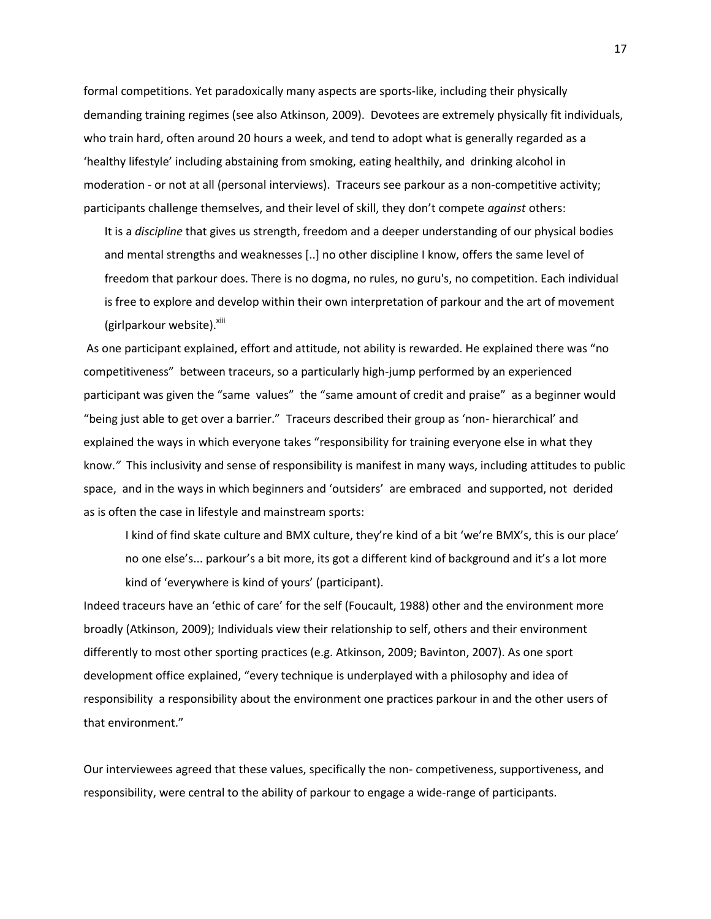formal competitions. Yet paradoxically many aspects are sports-like, including their physically demanding training regimes (see also Atkinson, 2009). Devotees are extremely physically fit individuals, who train hard, often around 20 hours a week, and tend to adopt what is generally regarded as a 'healthy lifestyle' including abstaining from smoking, eating healthily, and drinking alcohol in moderation - or not at all (personal interviews). Traceurs see parkour as a non-competitive activity; participants challenge themselves, and their level of skill, they don't compete *against* others:

It is a *discipline* that gives us strength, freedom and a deeper understanding of our physical bodies and mental strengths and weaknesses [..] no other discipline I know, offers the same level of freedom that parkour does. There is no dogma, no rules, no guru's, no competition. Each individual is free to explore and develop within their own interpretation of parkour and the art of movement (girlparkour website). $^{xiii}$ 

As one participant explained, effort and attitude, not ability is rewarded. He explained there was "no competitiveness" between traceurs, so a particularly high-jump performed by an experienced participant was given the "same values" the "same amount of credit and praise" as a beginner would "being just able to get over a barrier." Traceurs described their group as 'non- hierarchical' and explained the ways in which everyone takes "responsibility for training everyone else in what they know.*"* This inclusivity and sense of responsibility is manifest in many ways, including attitudes to public space, and in the ways in which beginners and 'outsiders' are embraced and supported, not derided as is often the case in lifestyle and mainstream sports:

I kind of find skate culture and BMX culture, they're kind of a bit 'we're BMX's, this is our place' no one else's... parkour's a bit more, its got a different kind of background and it's a lot more kind of 'everywhere is kind of yours' (participant).

Indeed traceurs have an 'ethic of care' for the self (Foucault, 1988) other and the environment more broadly (Atkinson, 2009); Individuals view their relationship to self, others and their environment differently to most other sporting practices (e.g. Atkinson, 2009; Bavinton, 2007). As one sport development office explained, "every technique is underplayed with a philosophy and idea of responsibility a responsibility about the environment one practices parkour in and the other users of that environment."

Our interviewees agreed that these values, specifically the non- competiveness, supportiveness, and responsibility, were central to the ability of parkour to engage a wide-range of participants.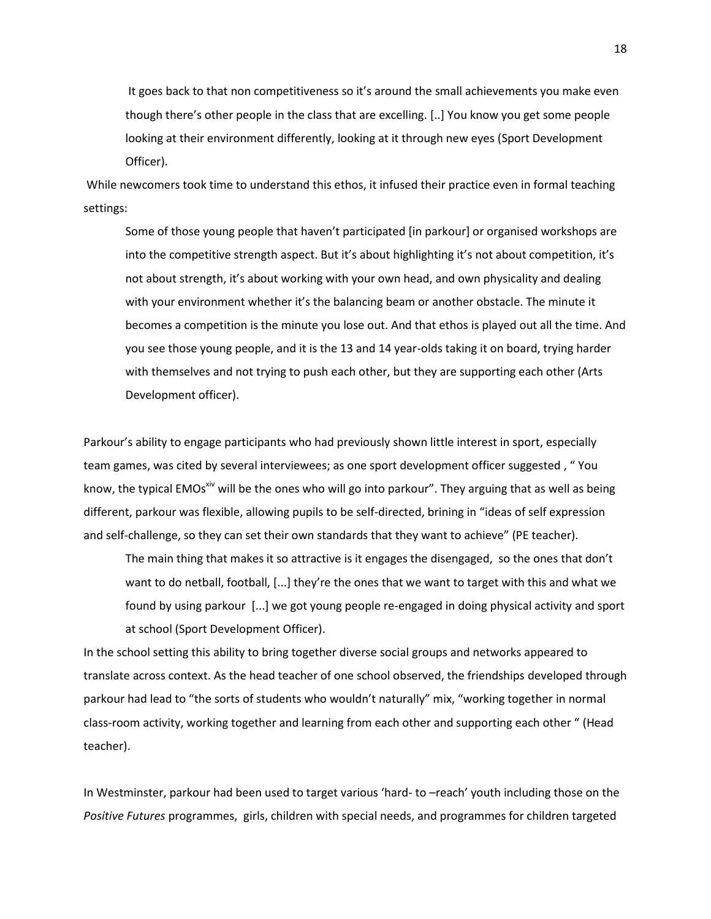It goes back to that non competitiveness so it's around the small achievements you make even though there's other people in the class that are excelling. [..] You know you get some people looking at their environment differently, looking at it through new eyes (Sport Development Officer).

While newcomers took time to understand this ethos, it infused their practice even in formal teaching settings:

Some of those young people that haven't participated (in parkour) or organised workshops are into the competitive strength aspect. But it's about highlighting it's not about competition, it's not about strength, it's about working with your own head, and own physicality and dealing with your environment whether it's the balancing beam or another obstacle. The minute it becomes a competition is the minute you lose out. And that ethos is played out all the time. And you see those young people, and it is the 13 and 14 year-olds taking it on board, trying harder with themselves and not trying to push each other, but they are supporting each other (Arts Development officer).

Parkour's ability to engage participants who had previously shown little interest in sport, especially team games, was cited by several interviewees; as one sport development officer suggested , " You know, the typical EMOs<sup>xiv</sup> will be the ones who will go into parkour". They arguing that as well as being different, parkour was flexible, allowing pupils to be self-directed, brining in "ideas of self expression and self-challenge, so they can set their own standards that they want to achieve" (PE teacher).

The main thing that makes it so attractive is it engages the disengaged, so the ones that don't want to do netball, football,  $[...]$  they're the ones that we want to target with this and what we found by using parkour [...] we got young people re-engaged in doing physical activity and sport at school (Sport Development Officer).

In the school setting this ability to bring together diverse social groups and networks appeared to translate across context. As the head teacher of one school observed, the friendships developed through parkour had lead to "the sorts of students who wouldn't naturally" mix, "working together in normal class-room activity, working together and learning from each other and supporting each other " (Head teacher).

In Westminster, parkour had been used to target various 'hard- to –reach' youth including those on the *Positive Futures* programmes, girls, children with special needs, and programmes for children targeted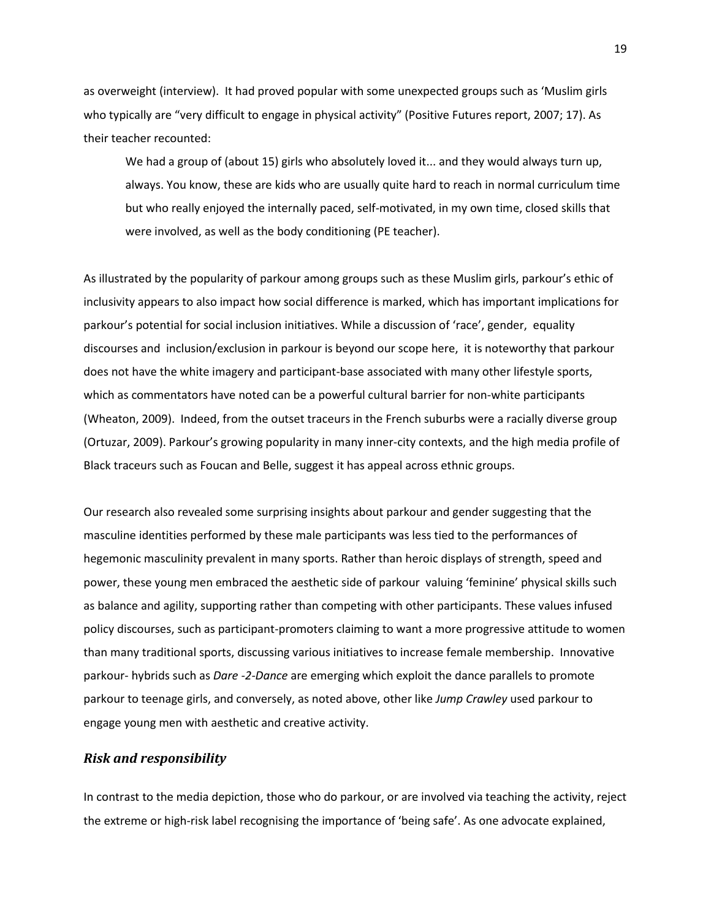as overweight (interview). It had proved popular with some unexpected groups such as 'Muslim girls who typically are "very difficult to engage in physical activity" (Positive Futures report, 2007; 17). As their teacher recounted:

We had a group of (about 15) girls who absolutely loved it... and they would always turn up, always. You know, these are kids who are usually quite hard to reach in normal curriculum time but who really enjoyed the internally paced, self-motivated, in my own time, closed skills that were involved, as well as the body conditioning (PE teacher).

As illustrated by the popularity of parkour among groups such as these Muslim girls, parkour's ethic of inclusivity appears to also impact how social difference is marked, which has important implications for parkour's potential for social inclusion initiatives. While a discussion of 'race', gender, equality discourses and inclusion/exclusion in parkour is beyond our scope here, it is noteworthy that parkour does not have the white imagery and participant-base associated with many other lifestyle sports, which as commentators have noted can be a powerful cultural barrier for non-white participants (Wheaton, 2009). Indeed, from the outset traceurs in the French suburbs were a racially diverse group (Ortuzar, 2009). Parkour's growing popularity in many inner-city contexts, and the high media profile of Black traceurs such as Foucan and Belle, suggest it has appeal across ethnic groups.

Our research also revealed some surprising insights about parkour and gender suggesting that the masculine identities performed by these male participants was less tied to the performances of hegemonic masculinity prevalent in many sports. Rather than heroic displays of strength, speed and power, these young men embraced the aesthetic side of parkour valuing 'feminine' physical skills such as balance and agility, supporting rather than competing with other participants. These values infused policy discourses, such as participant-promoters claiming to want a more progressive attitude to women than many traditional sports, discussing various initiatives to increase female membership. Innovative parkour- hybrids such as *Dare -2-Dance* are emerging which exploit the dance parallels to promote parkour to teenage girls, and conversely, as noted above, other like *Jump Crawley* used parkour to engage young men with aesthetic and creative activity.

### *Risk and responsibility*

In contrast to the media depiction, those who do parkour, or are involved via teaching the activity, reject the extreme or high-risk label recognising the importance of 'being safe'. As one advocate explained,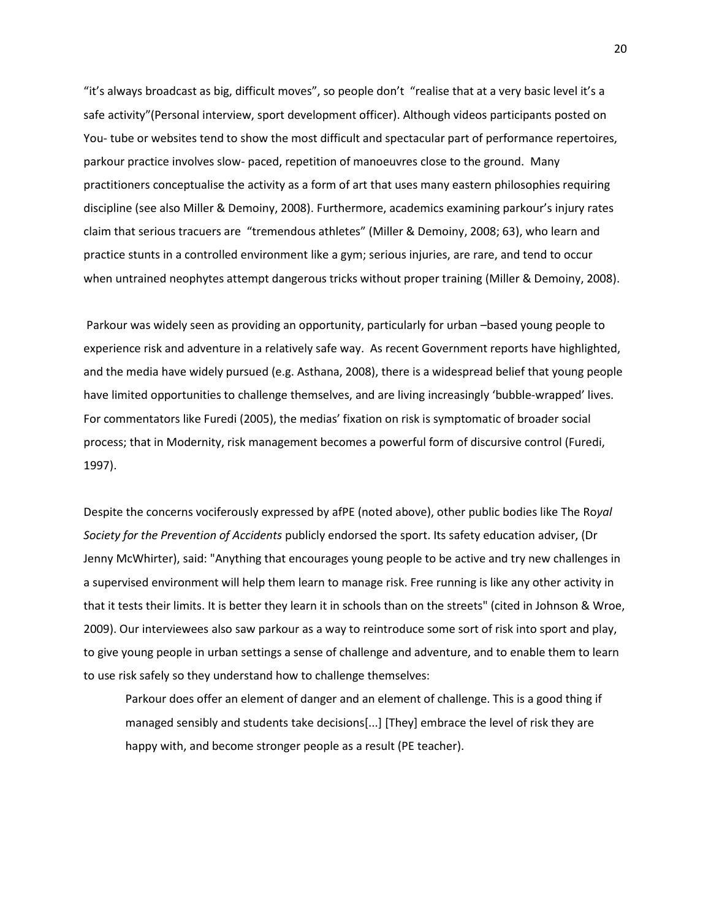"it's always broadcast as big, difficult moves", so people don't "realise that at a very basic level it's a safe activity"(Personal interview, sport development officer). Although videos participants posted on You- tube or websites tend to show the most difficult and spectacular part of performance repertoires, parkour practice involves slow- paced, repetition of manoeuvres close to the ground. Many practitioners conceptualise the activity as a form of art that uses many eastern philosophies requiring discipline (see also Miller & Demoiny, 2008). Furthermore, academics examining parkour's injury rates claim that serious tracuers are "tremendous athletes" (Miller & Demoiny, 2008; 63), who learn and practice stunts in a controlled environment like a gym; serious injuries, are rare, and tend to occur when untrained neophytes attempt dangerous tricks without proper training (Miller & Demoiny, 2008).

Parkour was widely seen as providing an opportunity, particularly for urban –based young people to experience risk and adventure in a relatively safe way. As recent Government reports have highlighted, and the media have widely pursued (e.g. Asthana, 2008), there is a widespread belief that young people have limited opportunities to challenge themselves, and are living increasingly 'bubble-wrapped' lives. For commentators like Furedi (2005), the medias' fixation on risk is symptomatic of broader social process; that in Modernity, risk management becomes a powerful form of discursive control (Furedi, 1997).

Despite the concerns vociferously expressed by afPE (noted above), other public bodies like The Ro*yal Society for the Prevention of Accidents* publicly endorsed the sport. Its safety education adviser, (Dr Jenny McWhirter), said: "Anything that encourages young people to be active and try new challenges in a supervised environment will help them learn to manage risk. Free running is like any other activity in that it tests their limits. It is better they learn it in schools than on the streets" (cited in Johnson & Wroe, 2009). Our interviewees also saw parkour as a way to reintroduce some sort of risk into sport and play, to give young people in urban settings a sense of challenge and adventure, and to enable them to learn to use risk safely so they understand how to challenge themselves:

Parkour does offer an element of danger and an element of challenge. This is a good thing if managed sensibly and students take decisions[...] [They] embrace the level of risk they are happy with, and become stronger people as a result (PE teacher).

20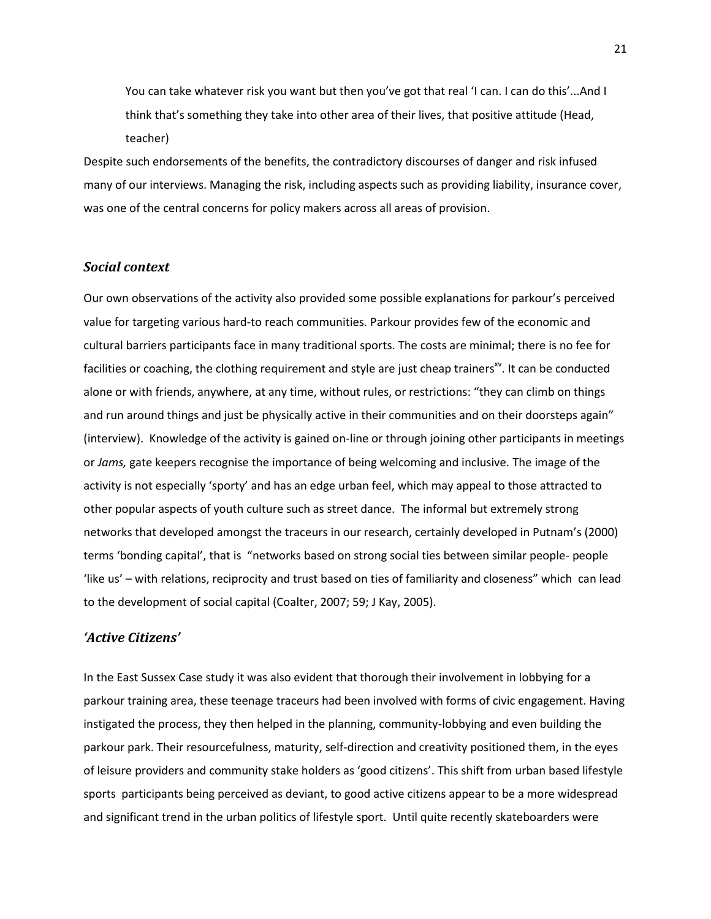You can take whatever risk you want but then you've got that real 'I can. I can do this'...And I think that's something they take into other area of their lives, that positive attitude (Head, teacher)

Despite such endorsements of the benefits, the contradictory discourses of danger and risk infused many of our interviews. Managing the risk, including aspects such as providing liability, insurance cover, was one of the central concerns for policy makers across all areas of provision.

### *Social context*

Our own observations of the activity also provided some possible explanations for parkour's perceived value for targeting various hard-to reach communities. Parkour provides few of the economic and cultural barriers participants face in many traditional sports. The costs are minimal; there is no fee for facilities or coaching, the clothing requirement and style are just cheap trainers $^{x}$ . It can be conducted alone or with friends, anywhere, at any time, without rules, or restrictions: "they can climb on things and run around things and just be physically active in their communities and on their doorsteps again" (interview). Knowledge of the activity is gained on-line or through joining other participants in meetings or *Jams,* gate keepers recognise the importance of being welcoming and inclusive. The image of the activity is not especially 'sporty' and has an edge urban feel, which may appeal to those attracted to other popular aspects of youth culture such as street dance. The informal but extremely strong networks that developed amongst the traceurs in our research, certainly developed in Putnam's (2000) terms 'bonding capital', that is "networks based on strong social ties between similar people- people 'like us' – with relations, reciprocity and trust based on ties of familiarity and closeness" which can lead to the development of social capital (Coalter, 2007; 59; J Kay, 2005).

### *'Active Citizens'*

In the East Sussex Case study it was also evident that thorough their involvement in lobbying for a parkour training area, these teenage traceurs had been involved with forms of civic engagement. Having instigated the process, they then helped in the planning, community-lobbying and even building the parkour park. Their resourcefulness, maturity, self-direction and creativity positioned them, in the eyes of leisure providers and community stake holders as 'good citizens'. This shift from urban based lifestyle sports participants being perceived as deviant, to good active citizens appear to be a more widespread and significant trend in the urban politics of lifestyle sport. Until quite recently skateboarders were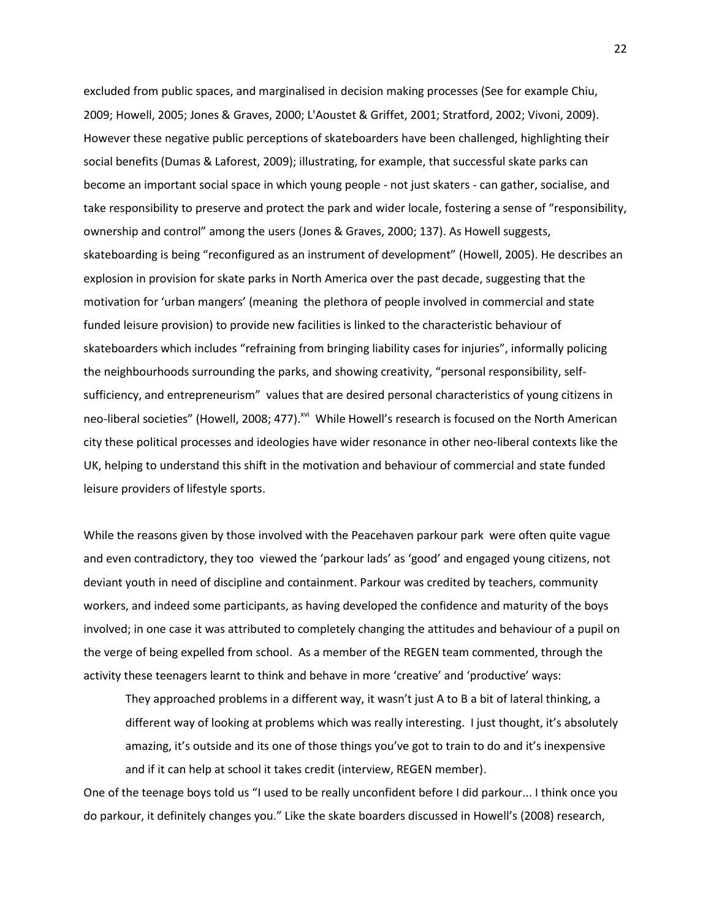excluded from public spaces, and marginalised in decision making processes (See for example Chiu, 2009; Howell, 2005; Jones & Graves, 2000; L'Aoustet & Griffet, 2001; Stratford, 2002; Vivoni, 2009). However these negative public perceptions of skateboarders have been challenged, highlighting their social benefits (Dumas & Laforest, 2009); illustrating, for example, that successful skate parks can become an important social space in which young people - not just skaters - can gather, socialise, and take responsibility to preserve and protect the park and wider locale, fostering a sense of "responsibility, ownership and control" among the users (Jones & Graves, 2000; 137). As Howell suggests, skateboarding is being "reconfigured as an instrument of development" (Howell, 2005). He describes an explosion in provision for skate parks in North America over the past decade, suggesting that the motivation for 'urban mangers' (meaning the plethora of people involved in commercial and state funded leisure provision) to provide new facilities is linked to the characteristic behaviour of skateboarders which includes "refraining from bringing liability cases for injuries", informally policing the neighbourhoods surrounding the parks, and showing creativity, "personal responsibility, selfsufficiency, and entrepreneurism" values that are desired personal characteristics of young citizens in neo-liberal societies" (Howell, 2008; 477).<sup>xvi</sup> While Howell's research is focused on the North American city these political processes and ideologies have wider resonance in other neo-liberal contexts like the UK, helping to understand this shift in the motivation and behaviour of commercial and state funded leisure providers of lifestyle sports.

While the reasons given by those involved with the Peacehaven parkour park were often quite vague and even contradictory, they too viewed the 'parkour lads' as 'good' and engaged young citizens, not deviant youth in need of discipline and containment. Parkour was credited by teachers, community workers, and indeed some participants, as having developed the confidence and maturity of the boys involved; in one case it was attributed to completely changing the attitudes and behaviour of a pupil on the verge of being expelled from school. As a member of the REGEN team commented, through the activity these teenagers learnt to think and behave in more 'creative' and 'productive' ways:

They approached problems in a different way, it wasn't just A to B a bit of lateral thinking, a different way of looking at problems which was really interesting. I just thought, it's absolutely amazing, it's outside and its one of those things you've got to train to do and it's inexpensive and if it can help at school it takes credit (interview, REGEN member).

One of the teenage boys told us "I used to be really unconfident before I did parkour... I think once you do parkour, it definitely changes you." Like the skate boarders discussed in Howell's (2008) research,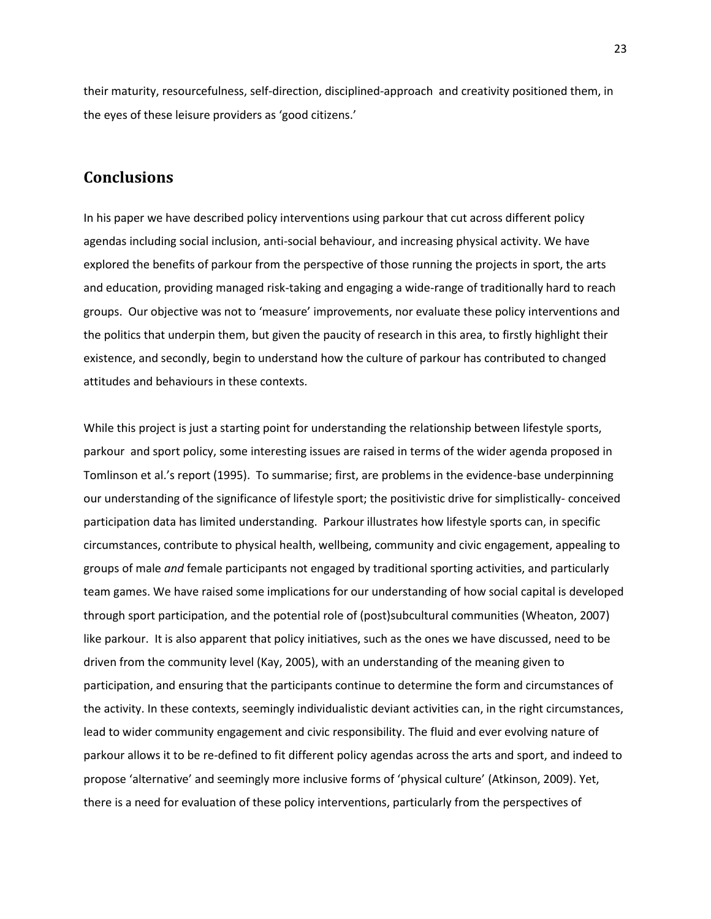their maturity, resourcefulness, self-direction, disciplined-approach and creativity positioned them, in the eyes of these leisure providers as 'good citizens.'

# **Conclusions**

In his paper we have described policy interventions using parkour that cut across different policy agendas including social inclusion, anti-social behaviour, and increasing physical activity. We have explored the benefits of parkour from the perspective of those running the projects in sport, the arts and education, providing managed risk-taking and engaging a wide-range of traditionally hard to reach groups. Our objective was not to 'measure' improvements, nor evaluate these policy interventions and the politics that underpin them, but given the paucity of research in this area, to firstly highlight their existence, and secondly, begin to understand how the culture of parkour has contributed to changed attitudes and behaviours in these contexts.

While this project is just a starting point for understanding the relationship between lifestyle sports, parkour and sport policy, some interesting issues are raised in terms of the wider agenda proposed in Tomlinson et al.'s report (1995). To summarise; first, are problems in the evidence-base underpinning our understanding of the significance of lifestyle sport; the positivistic drive for simplistically- conceived participation data has limited understanding. Parkour illustrates how lifestyle sports can, in specific circumstances, contribute to physical health, wellbeing, community and civic engagement, appealing to groups of male *and* female participants not engaged by traditional sporting activities, and particularly team games. We have raised some implications for our understanding of how social capital is developed through sport participation, and the potential role of (post)subcultural communities (Wheaton, 2007) like parkour. It is also apparent that policy initiatives, such as the ones we have discussed, need to be driven from the community level (Kay, 2005), with an understanding of the meaning given to participation, and ensuring that the participants continue to determine the form and circumstances of the activity. In these contexts, seemingly individualistic deviant activities can, in the right circumstances, lead to wider community engagement and civic responsibility. The fluid and ever evolving nature of parkour allows it to be re-defined to fit different policy agendas across the arts and sport, and indeed to propose 'alternative' and seemingly more inclusive forms of 'physical culture' (Atkinson, 2009). Yet, there is a need for evaluation of these policy interventions, particularly from the perspectives of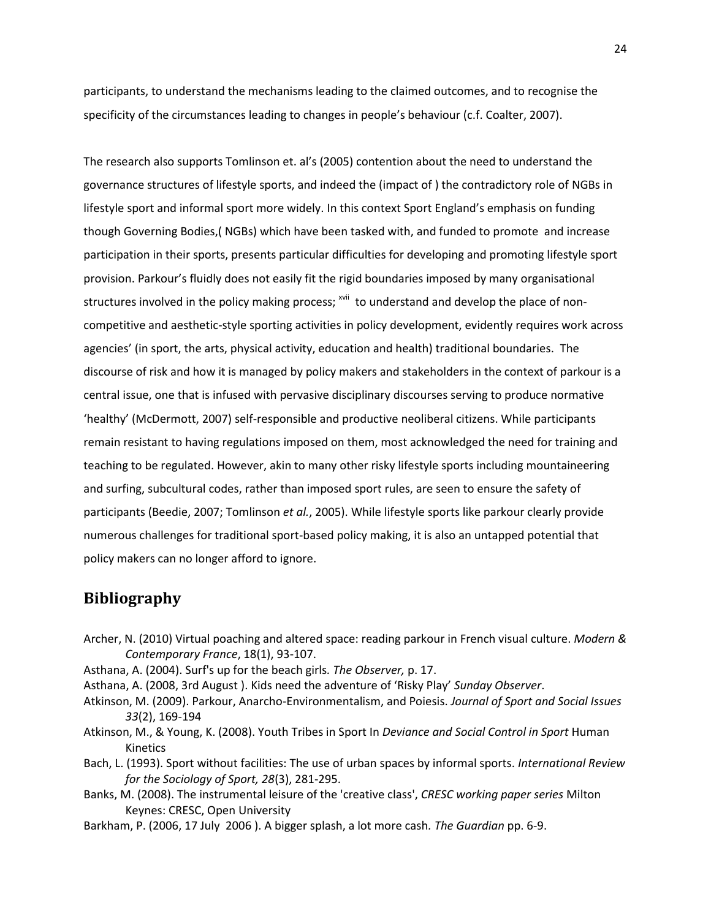participants, to understand the mechanisms leading to the claimed outcomes, and to recognise the specificity of the circumstances leading to changes in people's behaviour (c.f. Coalter, 2007).

The research also supports Tomlinson et. al's (2005) contention about the need to understand the governance structures of lifestyle sports, and indeed the (impact of ) the contradictory role of NGBs in lifestyle sport and informal sport more widely. In this context Sport England's emphasis on funding though Governing Bodies,( NGBs) which have been tasked with, and funded to promote and increase participation in their sports, presents particular difficulties for developing and promoting lifestyle sport provision. Parkour's fluidly does not easily fit the rigid boundaries imposed by many organisational structures involved in the policy making process; <sup>xvii</sup> to understand and develop the place of noncompetitive and aesthetic-style sporting activities in policy development, evidently requires work across agencies' (in sport, the arts, physical activity, education and health) traditional boundaries. The discourse of risk and how it is managed by policy makers and stakeholders in the context of parkour is a central issue, one that is infused with pervasive disciplinary discourses serving to produce normative 'healthy' (McDermott, 2007) self-responsible and productive neoliberal citizens. While participants remain resistant to having regulations imposed on them, most acknowledged the need for training and teaching to be regulated. However, akin to many other risky lifestyle sports including mountaineering and surfing, subcultural codes, rather than imposed sport rules, are seen to ensure the safety of participants (Beedie, 2007; Tomlinson *et al.*, 2005). While lifestyle sports like parkour clearly provide numerous challenges for traditional sport-based policy making, it is also an untapped potential that policy makers can no longer afford to ignore.

# **Bibliography**

- Archer, N. (2010) Virtual poaching and altered space: reading parkour in French visual culture. *Modern & Contemporary France*, 18(1), 93-107.
- Asthana, A. (2004). Surf's up for the beach girls*. The Observer,* p. 17.
- Asthana, A. (2008, 3rd August ). Kids need the adventure of 'Risky Play' *Sunday Observer*.
- Atkinson, M. (2009). Parkour, Anarcho-Environmentalism, and Poiesis. *Journal of Sport and Social Issues 33*(2), 169-194
- Atkinson, M., & Young, K. (2008). Youth Tribes in Sport In *Deviance and Social Control in Sport* Human Kinetics
- Bach, L. (1993). Sport without facilities: The use of urban spaces by informal sports. *International Review for the Sociology of Sport, 28*(3), 281-295.
- Banks, M. (2008). The instrumental leisure of the 'creative class', *CRESC working paper series* Milton Keynes: CRESC, Open University
- Barkham, P. (2006, 17 July 2006 ). A bigger splash, a lot more cash*. The Guardian* pp. 6-9.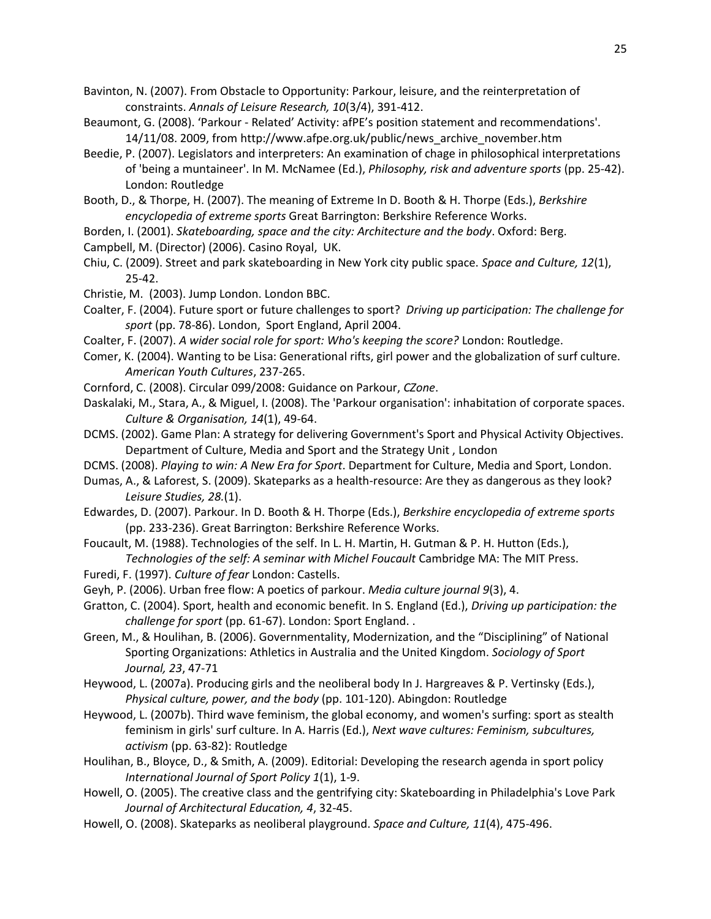Bavinton, N. (2007). From Obstacle to Opportunity: Parkour, leisure, and the reinterpretation of constraints. *Annals of Leisure Research, 10*(3/4), 391-412.

- Beaumont, G. (2008). 'Parkour Related' Activity: afPE's position statement and recommendations'. 14/11/08. 2009, from http://www.afpe.org.uk/public/news\_archive\_november.htm
- Beedie, P. (2007). Legislators and interpreters: An examination of chage in philosophical interpretations of 'being a muntaineer'. In M. McNamee (Ed.), *Philosophy, risk and adventure sports* (pp. 25-42). London: Routledge
- Booth, D., & Thorpe, H. (2007). The meaning of Extreme In D. Booth & H. Thorpe (Eds.), *Berkshire encyclopedia of extreme sports* Great Barrington: Berkshire Reference Works.
- Borden, I. (2001). *Skateboarding, space and the city: Architecture and the body*. Oxford: Berg.
- Campbell, M. (Director) (2006). Casino Royal, UK.
- Chiu, C. (2009). Street and park skateboarding in New York city public space. *Space and Culture, 12*(1), 25-42.
- Christie, M. (2003). Jump London. London BBC.
- Coalter, F. (2004). Future sport or future challenges to sport? *Driving up participation: The challenge for sport* (pp. 78-86). London, Sport England, April 2004.
- Coalter, F. (2007). *A wider social role for sport: Who's keeping the score?* London: Routledge.
- Comer, K. (2004). Wanting to be Lisa: Generational rifts, girl power and the globalization of surf culture. *American Youth Cultures*, 237-265.
- Cornford, C. (2008). Circular 099/2008: Guidance on Parkour, *CZone*.
- Daskalaki, M., Stara, A., & Miguel, I. (2008). The 'Parkour organisation': inhabitation of corporate spaces. *Culture & Organisation, 14*(1), 49-64.
- DCMS. (2002). Game Plan: A strategy for delivering Government's Sport and Physical Activity Objectives. Department of Culture, Media and Sport and the Strategy Unit , London
- DCMS. (2008). *Playing to win: A New Era for Sport*. Department for Culture, Media and Sport, London.
- Dumas, A., & Laforest, S. (2009). Skateparks as a health-resource: Are they as dangerous as they look? *Leisure Studies, 28.*(1).
- Edwardes, D. (2007). Parkour. In D. Booth & H. Thorpe (Eds.), *Berkshire encyclopedia of extreme sports*  (pp. 233-236). Great Barrington: Berkshire Reference Works.
- Foucault, M. (1988). Technologies of the self. In L. H. Martin, H. Gutman & P. H. Hutton (Eds.), *Technologies of the self: A seminar with Michel Foucault* Cambridge MA: The MIT Press.
- Furedi, F. (1997). *Culture of fear* London: Castells.
- Geyh, P. (2006). Urban free flow: A poetics of parkour. *Media culture journal 9*(3), 4.
- Gratton, C. (2004). Sport, health and economic benefit. In S. England (Ed.), *Driving up participation: the challenge for sport* (pp. 61-67). London: Sport England. .
- Green, M., & Houlihan, B. (2006). Governmentality, Modernization, and the "Disciplining" of National Sporting Organizations: Athletics in Australia and the United Kingdom. *Sociology of Sport Journal, 23*, 47-71
- Heywood, L. (2007a). Producing girls and the neoliberal body In J. Hargreaves & P. Vertinsky (Eds.), *Physical culture, power, and the body* (pp. 101-120). Abingdon: Routledge
- Heywood, L. (2007b). Third wave feminism, the global economy, and women's surfing: sport as stealth feminism in girls' surf culture. In A. Harris (Ed.), *Next wave cultures: Feminism, subcultures, activism* (pp. 63-82): Routledge
- Houlihan, B., Bloyce, D., & Smith, A. (2009). Editorial: Developing the research agenda in sport policy *International Journal of Sport Policy 1*(1), 1-9.
- Howell, O. (2005). The creative class and the gentrifying city: Skateboarding in Philadelphia's Love Park *Journal of Architectural Education, 4*, 32-45.
- Howell, O. (2008). Skateparks as neoliberal playground. *Space and Culture, 11*(4), 475-496.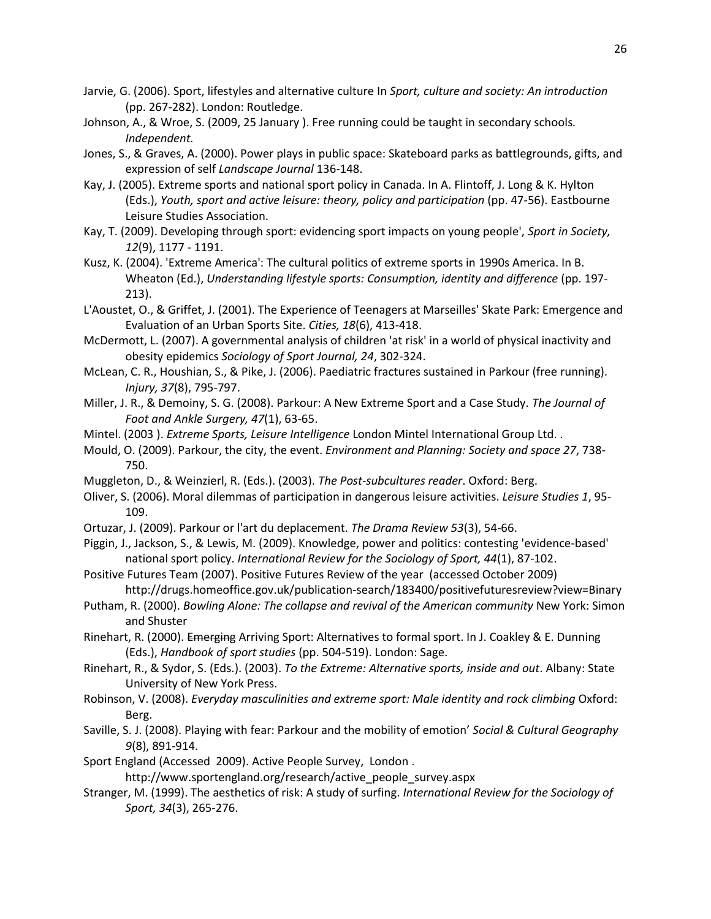- Jarvie, G. (2006). Sport, lifestyles and alternative culture In *Sport, culture and society: An introduction* (pp. 267-282). London: Routledge.
- Johnson, A., & Wroe, S. (2009, 25 January ). Free running could be taught in secondary schools*. Independent.*
- Jones, S., & Graves, A. (2000). Power plays in public space: Skateboard parks as battlegrounds, gifts, and expression of self *Landscape Journal* 136-148.
- Kay, J. (2005). Extreme sports and national sport policy in Canada. In A. Flintoff, J. Long & K. Hylton (Eds.), *Youth, sport and active leisure: theory, policy and participation* (pp. 47-56). Eastbourne Leisure Studies Association.
- Kay, T. (2009). Developing through sport: evidencing sport impacts on young people', *Sport in Society, 12*(9), 1177 - 1191.
- Kusz, K. (2004). 'Extreme America': The cultural politics of extreme sports in 1990s America. In B. Wheaton (Ed.), *Understanding lifestyle sports: Consumption, identity and difference* (pp. 197- 213).
- L'Aoustet, O., & Griffet, J. (2001). The Experience of Teenagers at Marseilles' Skate Park: Emergence and Evaluation of an Urban Sports Site. *Cities, 18*(6), 413-418.
- McDermott, L. (2007). A governmental analysis of children 'at risk' in a world of physical inactivity and obesity epidemics *Sociology of Sport Journal, 24*, 302-324.
- McLean, C. R., Houshian, S., & Pike, J. (2006). Paediatric fractures sustained in Parkour (free running). *Injury, 37*(8), 795-797.
- Miller, J. R., & Demoiny, S. G. (2008). Parkour: A New Extreme Sport and a Case Study. *The Journal of Foot and Ankle Surgery, 47*(1), 63-65.
- Mintel. (2003 ). *Extreme Sports, Leisure Intelligence* London Mintel International Group Ltd. .
- Mould, O. (2009). Parkour, the city, the event. *Environment and Planning: Society and space 27*, 738- 750.
- Muggleton, D., & Weinzierl, R. (Eds.). (2003). *The Post-subcultures reader*. Oxford: Berg.
- Oliver, S. (2006). Moral dilemmas of participation in dangerous leisure activities. *Leisure Studies 1*, 95- 109.
- Ortuzar, J. (2009). Parkour or l'art du deplacement. *The Drama Review 53*(3), 54-66.
- Piggin, J., Jackson, S., & Lewis, M. (2009). Knowledge, power and politics: contesting 'evidence-based' national sport policy. *International Review for the Sociology of Sport, 44*(1), 87-102.
- Positive Futures Team (2007). Positive Futures Review of the year (accessed October 2009) http://drugs.homeoffice.gov.uk/publication-search/183400/positivefuturesreview?view=Binary
- Putham, R. (2000). *Bowling Alone: The collapse and revival of the American community* New York: Simon and Shuster
- Rinehart, R. (2000). Emerging Arriving Sport: Alternatives to formal sport. In J. Coakley & E. Dunning (Eds.), *Handbook of sport studies* (pp. 504-519). London: Sage.
- Rinehart, R., & Sydor, S. (Eds.). (2003). *To the Extreme: Alternative sports, inside and out*. Albany: State University of New York Press.
- Robinson, V. (2008). *Everyday masculinities and extreme sport: Male identity and rock climbing* Oxford: Berg.
- Saville, S. J. (2008). Playing with fear: Parkour and the mobility of emotion' *Social & Cultural Geography 9*(8), 891-914.
- Sport England (Accessed 2009). Active People Survey, London .

http://www.sportengland.org/research/active\_people\_survey.aspx

Stranger, M. (1999). The aesthetics of risk: A study of surfing. *International Review for the Sociology of Sport, 34*(3), 265-276.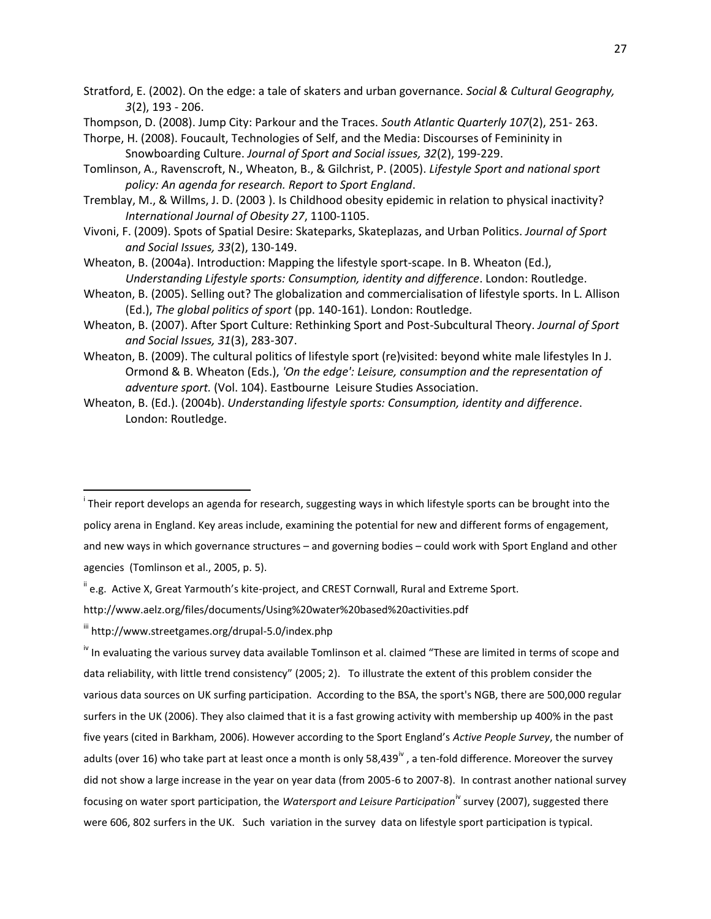- Stratford, E. (2002). On the edge: a tale of skaters and urban governance. *Social & Cultural Geography, 3*(2), 193 - 206.
- Thompson, D. (2008). Jump City: Parkour and the Traces. *South Atlantic Quarterly 107*(2), 251- 263.
- Thorpe, H. (2008). Foucault, Technologies of Self, and the Media: Discourses of Femininity in Snowboarding Culture. *Journal of Sport and Social issues, 32*(2), 199-229.
- Tomlinson, A., Ravenscroft, N., Wheaton, B., & Gilchrist, P. (2005). *Lifestyle Sport and national sport policy: An agenda for research. Report to Sport England*.
- Tremblay, M., & Willms, J. D. (2003 ). Is Childhood obesity epidemic in relation to physical inactivity? *International Journal of Obesity 27*, 1100-1105.
- Vivoni, F. (2009). Spots of Spatial Desire: Skateparks, Skateplazas, and Urban Politics. *Journal of Sport and Social Issues, 33*(2), 130-149.
- Wheaton, B. (2004a). Introduction: Mapping the lifestyle sport-scape. In B. Wheaton (Ed.), *Understanding Lifestyle sports: Consumption, identity and difference*. London: Routledge.
- Wheaton, B. (2005). Selling out? The globalization and commercialisation of lifestyle sports. In L. Allison (Ed.), *The global politics of sport* (pp. 140-161). London: Routledge.
- Wheaton, B. (2007). After Sport Culture: Rethinking Sport and Post-Subcultural Theory. *Journal of Sport and Social Issues, 31*(3), 283-307.
- Wheaton, B. (2009). The cultural politics of lifestyle sport (re)visited: beyond white male lifestyles In J. Ormond & B. Wheaton (Eds.), *'On the edge': Leisure, consumption and the representation of adventure sport.* (Vol. 104). Eastbourne Leisure Studies Association.

Wheaton, B. (Ed.). (2004b). *Understanding lifestyle sports: Consumption, identity and difference*. London: Routledge.

<sup>i</sup> Their report develops an agenda for research, suggesting ways in which lifestyle sports can be brought into the policy arena in England. Key areas include, examining the potential for new and different forms of engagement, and new ways in which governance structures – and governing bodies – could work with Sport England and other agencies (Tomlinson et al., 2005, p. 5).

http://www.aelz.org/files/documents/Using%20water%20based%20activities.pdf

iii http://www.streetgames.org/drupal-5.0/index.php

 $\overline{a}$ 

<sup>iv</sup> In evaluating the various survey data available Tomlinson et al. claimed "These are limited in terms of scope and data reliability, with little trend consistency" (2005; 2). To illustrate the extent of this problem consider the various data sources on UK surfing participation. According to the BSA, the sport's NGB, there are 500,000 regular surfers in the UK (2006). They also claimed that it is a fast growing activity with membership up 400% in the past five years (cited in Barkham, 2006). However according to the Sport England's *Active People Survey*, the number of adults (over 16) who take part at least once a month is only 58,439<sup>iv</sup>, a ten-fold difference. Moreover the survey did not show a large increase in the year on year data (from 2005-6 to 2007-8). In contrast another national survey focusing on water sport participation, the *Watersport and Leisure Participation*iv survey (2007), suggested there were 606, 802 surfers in the UK. Such variation in the survey data on lifestyle sport participation is typical.

 $\mathbf{u}^{\parallel}$  e.g. Active X, Great Yarmouth's kite-project, and CREST Cornwall, Rural and Extreme Sport.